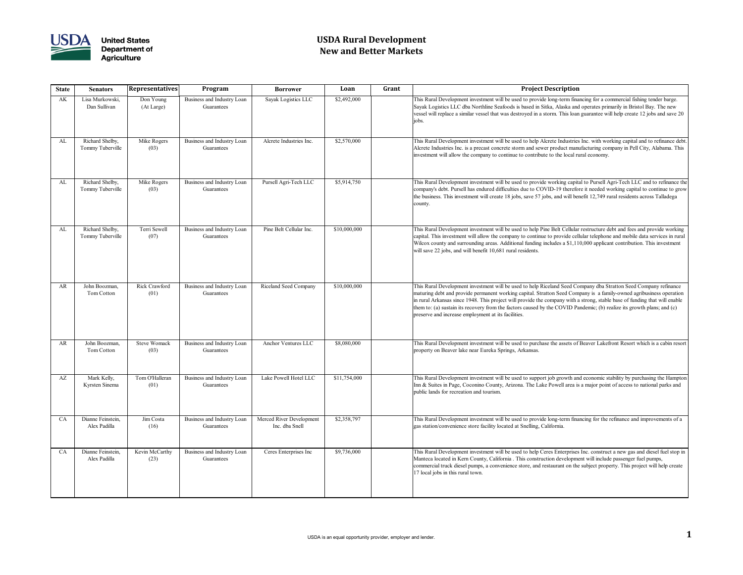

# **USDA Rural Development New and Better Markets**

### **State Senators Representatives Program Borrower Loan Grant Project Description**

is Rural Development investment will be used to provide long-term financing for a commercial fishing tender barge. yak Logistics LLC dba Northline Seafoods is based in Sitka, Alaska and operates primarily in Bristol Bay. The new sel will replace a similar vessel that was destroyed in a storm. This loan guarantee will help create 12 jobs and save 20

is Rural Development investment will be used to help Alcrete Industries Inc. with working capital and to refinance debt erete Industries Inc. is a precast concrete storm and sewer product manufacturing company in Pell City, Alabama. This estment will allow the company to continue to contribute to the local rural economy.

is Rural Development investment will be used to provide working capital to Pursell Agri-Tech LLC and to refinance the mpany's debt. Pursell has endured difficulties due to COVID-19 therefore it needed working capital to continue to grow business. This investment will create 18 jobs, save 57 jobs, and will benefit 12,749 rural residents across Talladega ınty.

is Rural Development investment will be used to help Pine Belt Cellular restructure debt and fees and provide working oital. This investment will allow the company to continue to provide cellular telephone and mobile data services in rural lcox county and surrounding areas. Additional funding includes a \$1,110,000 applicant contribution. This investment 1 save 22 jobs, and will benefit 10,681 rural residents.

is Rural Development investment will be used to help Riceland Seed Company dba Stratton Seed Company refinance turing debt and provide permanent working capital. Stratton Seed Company is a family-owned agribusiness operation ural Arkansas since 1948. This project will provide the company with a strong, stable base of funding that will enable m to: (a) sustain its recovery from the factors caused by the COVID Pandemic; (b) realize its growth plans; and (c) serve and increase employment at its facilities.

is Rural Development investment will be used to purchase the assets of Beaver Lakefront Resort which is a cabin resort perty on Beaver lake near Eureka Springs, Arkansas.

is Rural Development investment will be used to support job growth and economic stability by purchasing the Hampton & Suites in Page, Coconino County, Arizona. The Lake Powell area is a major point of access to national parks and plic lands for recreation and tourism.

is Rural Development investment will be used to provide long-term financing for the refinance and improvements of a station/convenience store facility located at Snelling, California.

Is Rural Development investment will be used to help Ceres Enterprises Inc. construct a new gas and diesel fuel stop in Inteca located in Kern County, California . This construction development will include passenger fuel pumps, mmercial truck diesel pumps, a convenience store, and restaurant on the subject property. This project will help create local jobs in this rural town.

| <b>State</b> | <b>Senators</b>                     | <b>Representatives</b>      | Program                                  | <b>Borrower</b>                            | Loan         | Grant                                 |
|--------------|-------------------------------------|-----------------------------|------------------------------------------|--------------------------------------------|--------------|---------------------------------------|
| AK           | Lisa Murkowski,<br>Dan Sullivan     | Don Young<br>(At Large)     | Business and Industry Loan<br>Guarantees | Sayak Logistics LLC                        | \$2,492,000  | This<br>Saya<br>vess<br>jobs.         |
| AL           | Richard Shelby,<br>Tommy Tuberville | Mike Rogers<br>(03)         | Business and Industry Loan<br>Guarantees | Alcrete Industries Inc.                    | \$2,570,000  | This<br>Alcr<br>inves                 |
| AL           | Richard Shelby,<br>Tommy Tuberville | Mike Rogers<br>(03)         | Business and Industry Loan<br>Guarantees | Pursell Agri-Tech LLC                      | \$5,914,750  | This<br>com<br>the b<br>cour          |
| AL           | Richard Shelby,<br>Tommy Tuberville | Terri Sewell<br>(07)        | Business and Industry Loan<br>Guarantees | Pine Belt Cellular Inc.                    | \$10,000,000 | This<br>capit<br>Wilc<br>will:        |
| <b>AR</b>    | John Boozman,<br>Tom Cotton         | Rick Crawford<br>(01)       | Business and Industry Loan<br>Guarantees | <b>Riceland Seed Company</b>               | \$10,000,000 | This<br>matu<br>in ru<br>them<br>pres |
| <b>AR</b>    | John Boozman,<br>Tom Cotton         | <b>Steve Womack</b><br>(03) | Business and Industry Loan<br>Guarantees | Anchor Ventures LLC                        | \$8,080,000  | This<br>prop                          |
| AZ           | Mark Kelly,<br>Kyrsten Sinema       | Tom O'Halleran<br>(01)      | Business and Industry Loan<br>Guarantees | Lake Powell Hotel LLC                      | \$11,754,000 | This<br>Inn &<br>publ                 |
| CA           | Dianne Feinstein,<br>Alex Padilla   | Jim Costa<br>(16)           | Business and Industry Loan<br>Guarantees | Merced River Development<br>Inc. dba Snell | \$2,358,797  | This<br>gas s                         |
| CA           | Dianne Feinstein,<br>Alex Padilla   | Kevin McCarthy<br>(23)      | Business and Industry Loan<br>Guarantees | Ceres Enterprises Inc                      | \$9,736,000  | This<br>Man<br>com<br>17 <sup>1</sup> |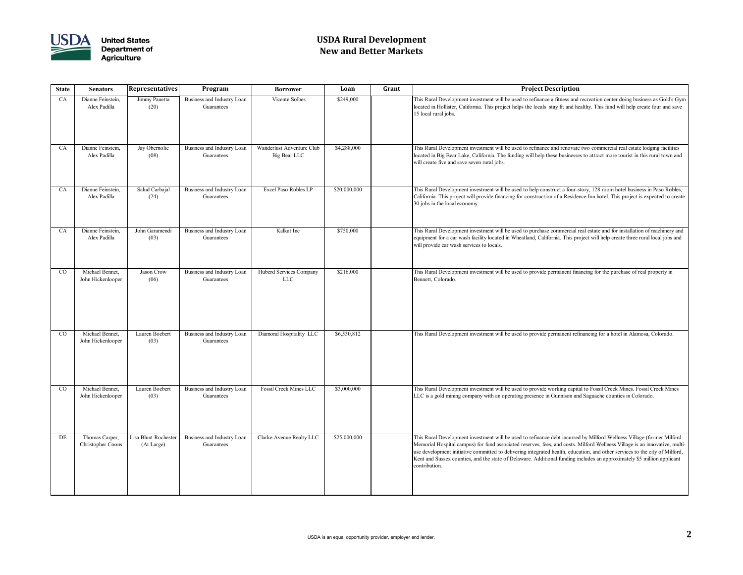

# **USDA Rural Development New and Better Markets**

### **State Senators Representatives Program Borrower Loan Grant Project Description**

is Rural Development investment will be used to refinance a fitness and recreation center doing business as Gold's Gym ated in Hollister, California. This project helps the locals stay fit and healthy. This fund will help create four and save local rural jobs.

is Rural Development investment will be used to refinance and renovate two commercial real estate lodging facilities ated in Big Bear Lake, California. The funding will help these businesses to attract more tourist in this rural town and Il create five and save seven rural jobs.

is Rural Development investment will be used to help construct a four-story, 128 room hotel business in Paso Robles, lifornia. This project will provide financing for construction of a Residence Inn hotel. This project is expected to create jobs in the local economy.

is Rural Development investment will be used to purchase commercial real estate and for installation of machinery and ipment for a car wash facility located in Wheatland, California. This project will help create three rural local jobs and Il provide car wash services to locals.

is Rural Development investment will be used to provide permanent financing for the purchase of real property in nnett, Colorado.

is Rural Development investment will be used to provide permanent refinancing for a hotel in Alamosa, Colorado.

is Rural Development investment will be used to provide working capital to Fossil Creek Mines. Fossil Creek Mines C is a gold mining company with an operating presence in Gunnison and Saguache counties in Colorado.

is Rural Development investment will be used to refinance debt incurred by Milford Wellness Village (former Milford emorial Hospital campus) for fund associated reserves, fees, and costs. Milford Wellness Village is an innovative, multidevelopment initiative committed to delivering integrated health, education, and other services to the city of Milford, nt and Sussex counties, and the state of Delaware. Additional funding includes an approximately \$5 million applicant ntribution.

| <b>State</b> | <b>Representatives</b><br>Program<br><b>Senators</b><br><b>Borrower</b> |                                    | Loan                                     | Grant                                     |              |                               |
|--------------|-------------------------------------------------------------------------|------------------------------------|------------------------------------------|-------------------------------------------|--------------|-------------------------------|
| CA           | Dianne Feinstein,<br>Alex Padilla                                       | Jimmy Panetta<br>(20)              | Business and Industry Loan<br>Guarantees | Vicente Solbes                            | \$249,000    | Thi<br>loc<br>15              |
| CA           | Dianne Feinstein,<br>Alex Padilla                                       | Jay Obernolte<br>(08)              | Business and Industry Loan<br>Guarantees | Wanderlust Adventure Club<br>Big Bear LLC | \$4,288,000  | Thi<br>loc<br>wil             |
| CA           | Dianne Feinstein,<br>Alex Padilla                                       | Salud Carbajal<br>(24)             | Business and Industry Loan<br>Guarantees | Excel Paso Robles LP                      | \$20,000,000 | Thi<br>Cal<br>30              |
| CA           | Dianne Feinstein,<br>Alex Padilla                                       | John Garamendi<br>(03)             | Business and Industry Loan<br>Guarantees | Kalkat Inc                                | \$750,000    | Thi<br>equ<br>wil             |
| CO           | Michael Bennet,<br>John Hickenlooper                                    | Jason Crow<br>(06)                 | Business and Industry Loan<br>Guarantees | Huberd Services Company<br><b>LLC</b>     | \$216,000    | Thi<br>Be                     |
| CO           | Michael Bennet,<br>John Hickenlooper                                    | Lauren Boebert<br>(03)             | Business and Industry Loan<br>Guarantees | Diamond Hospitality LLC                   | \$6,530,812  | Thi                           |
| CO           | Michael Bennet,<br>John Hickenlooper                                    | Lauren Boebert<br>(03)             | Business and Industry Loan<br>Guarantees | <b>Fossil Creek Mines LLC</b>             | \$3,000,000  | Thi<br>LL                     |
| DE           | Thomas Carper,<br>Christopher Coons                                     | Lisa Blunt Rochester<br>(At Large) | Business and Industry Loan<br>Guarantees | Clarke Avenue Realty LLC                  | \$25,000,000 | Thi<br>Me<br>use<br>Ke<br>cor |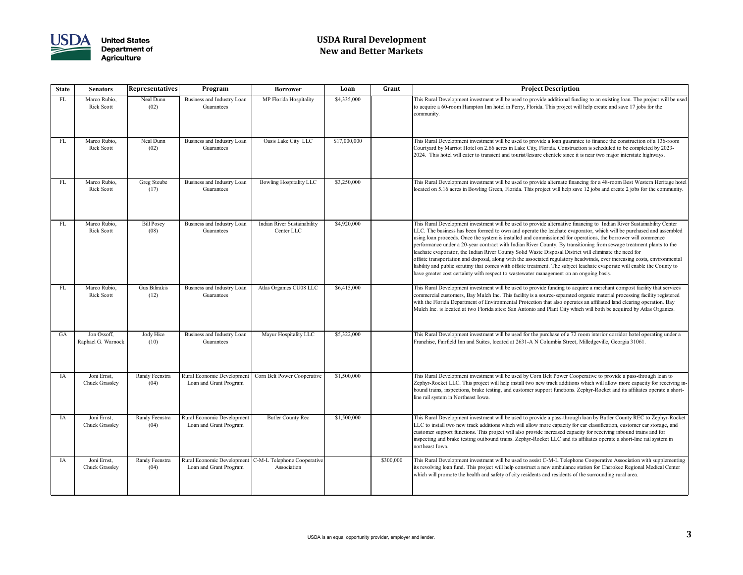

# **USDA Rural Development New and Better Markets**

| <b>State</b> | <b>Senators</b>                      | <b>Representatives</b>        | Program                                              | <b>Borrower</b>                            | Loan         | Grant     | <b>Project Description</b>                                                                                                                                                                                                                                                                                                                                                                                                                                                                                                                                                                                                               |
|--------------|--------------------------------------|-------------------------------|------------------------------------------------------|--------------------------------------------|--------------|-----------|------------------------------------------------------------------------------------------------------------------------------------------------------------------------------------------------------------------------------------------------------------------------------------------------------------------------------------------------------------------------------------------------------------------------------------------------------------------------------------------------------------------------------------------------------------------------------------------------------------------------------------------|
| FL           | Marco Rubio,<br><b>Rick Scott</b>    | Neal Dunn<br>(02)             | Business and Industry Loan<br>Guarantees             | MP Florida Hospitality                     | \$4,335,000  |           | This Rural Development investment will be used to provide additional fund<br>to acquire a 60-room Hampton Inn hotel in Perry, Florida. This project wi<br>community.                                                                                                                                                                                                                                                                                                                                                                                                                                                                     |
| FL           | Marco Rubio,<br><b>Rick Scott</b>    | Neal Dunn<br>(02)             | Business and Industry Loan<br>Guarantees             | Oasis Lake City LLC                        | \$17,000,000 |           | This Rural Development investment will be used to provide a loan guarant<br>Courtyard by Marriot Hotel on 2.66 acres in Lake City, Florida. Construct<br>2024. This hotel will cater to transient and tourist/leisure clientele since it                                                                                                                                                                                                                                                                                                                                                                                                 |
| <b>FL</b>    | Marco Rubio,<br><b>Rick Scott</b>    | Greg Steube<br>(17)           | Business and Industry Loan<br>Guarantees             | <b>Bowling Hospitality LLC</b>             | \$3,250,000  |           | This Rural Development investment will be used to provide alternate finan<br>located on 5.16 acres in Bowling Green, Florida. This project will help sav                                                                                                                                                                                                                                                                                                                                                                                                                                                                                 |
| FL           | Marco Rubio,<br><b>Rick Scott</b>    | <b>Bill Posey</b><br>(08)     | Business and Industry Loan<br>Guarantees             | Indian River Sustainability<br>Center LLC  | \$4,920,000  |           | This Rural Development investment will be used to provide alternative final<br>LLC. The business has been formed to own and operate the leachate evaper<br>using loan proceeds. Once the system is installed and commissioned for op<br>performance under a 20-year contract with Indian River County. By transi<br>leachate evaporator, the Indian River County Solid Waste Disposal Distric<br>offsite transportation and disposal, along with the associated regulatory he<br>liability and public scrutiny that comes with offsite treatment. The subject<br>have greater cost certainty with respect to wastewater management on an |
| FL           | Marco Rubio,<br><b>Rick Scott</b>    | Gus Bilirakis<br>(12)         | Business and Industry Loan<br>Guarantees             | Atlas Organics CU08 LLC                    | \$6,415,000  |           | This Rural Development investment will be used to provide funding to acq<br>commercial customers, Bay Mulch Inc. This facility is a source-separated of<br>with the Florida Department of Environmental Protection that also operate<br>Mulch Inc. is located at two Florida sites: San Antonio and Plant City which                                                                                                                                                                                                                                                                                                                     |
| <b>GA</b>    | Jon Ossoff,<br>Raphael G. Warnock    | Jody Hice<br>(10)             | Business and Industry Loan<br>Guarantees             | Mayur Hospitality LLC                      | \$5,322,000  |           | This Rural Development investment will be used for the purchase of a 72 i<br>Franchise, Fairfield Inn and Suites, located at 2631-A N Columbia Street,                                                                                                                                                                                                                                                                                                                                                                                                                                                                                   |
| IA           | Joni Ernst,<br><b>Chuck Grassley</b> | <b>Randy Feenstra</b><br>(04) | Rural Economic Development<br>Loan and Grant Program | Corn Belt Power Cooperative                | \$1,500,000  |           | This Rural Development investment will be used by Corn Belt Power Coo<br>Zephyr-Rocket LLC. This project will help install two new track additions<br>bound trains, inspections, brake testing, and customer support functions. Z<br>line rail system in Northeast Iowa.                                                                                                                                                                                                                                                                                                                                                                 |
| IA           | Joni Ernst,<br><b>Chuck Grassley</b> | Randy Feenstra<br>(04)        | Rural Economic Development<br>Loan and Grant Program | <b>Butler County Rec</b>                   | \$1,500,000  |           | This Rural Development investment will be used to provide a pass-througl<br>LLC to install two new track additions which will allow more capacity for<br>customer support functions. This project will also provide increased capac<br>inspecting and brake testing outbound trains. Zephyr-Rocket LLC and its<br>northeast Iowa.                                                                                                                                                                                                                                                                                                        |
| IA           | Joni Ernst,<br><b>Chuck Grassley</b> | Randy Feenstra<br>(04)        | Rural Economic Development<br>Loan and Grant Program | C-M-L Telephone Cooperative<br>Association |              | \$300,000 | This Rural Development investment will be used to assist C-M-L Telephon<br>its revolving loan fund. This project will help construct a new ambulance s<br>which will promote the health and safety of city residents and residents of                                                                                                                                                                                                                                                                                                                                                                                                    |

is Rural Development investment will be used to provide additional funding to an existing loan. The project will be used acquire a 60-room Hampton Inn hotel in Perry, Florida. This project will help create and save 17 jobs for the mmunity.

is Rural Development investment will be used to provide a loan guarantee to finance the construction of a 136-room urtyard by Marriot Hotel on 2.66 acres in Lake City, Florida. Construction is scheduled to be completed by 2023-24. This hotel will cater to transient and tourist/leisure clientele since it is near two major interstate highways.

is Rural Development investment will be used to provide alternate financing for a 48-room Best Western Heritage hotel ated on 5.16 acres in Bowling Green, Florida. This project will help save 12 jobs and create 2 jobs for the community.

is Rural Development investment will be used to provide alternative financing to Indian River Sustainability Center C. The business has been formed to own and operate the leachate evaporator, which will be purchased and assembled ng loan proceeds. Once the system is installed and commissioned for operations, the borrower will commence formance under a 20-year contract with Indian River County. By transitioning from sewage treatment plants to the chate evaporator, the Indian River County Solid Waste Disposal District will eliminate the need for site transportation and disposal, along with the associated regulatory headwinds, ever increasing costs, environmental bility and public scrutiny that comes with offsite treatment. The subject leachate evaporate will enable the County to le greater cost certainty with respect to wastewater management on an ongoing basis.

is Rural Development investment will be used to provide funding to acquire a merchant compost facility that services mmercial customers, Bay Mulch Inc. This facility is a source-separated organic material processing facility registered h the Florida Department of Environmental Protection that also operates an affiliated land clearing operation. Bay Ich Inc. is located at two Florida sites: San Antonio and Plant City which will both be acquired by Atlas Organics.

is Rural Development investment will be used for the purchase of a 72 room interior corridor hotel operating under a nchise, Fairfield Inn and Suites, located at 2631-A N Columbia Street, Milledgeville, Georgia 31061.

is Rural Development investment will be used by Corn Belt Power Cooperative to provide a pass-through loan to bhyr-Rocket LLC. This project will help install two new track additions which will allow more capacity for receiving in and trains, inspections, brake testing, and customer support functions. Zephyr-Rocket and its affiliates operate a shorte rail system in Northeast Iowa.

Is Rural Development investment will be used to provide a pass-through loan by Butler County REC to Zephyr-Rocket C to install two new track additions which will allow more capacity for car classification, customer car storage, and stomer support functions. This project will also provide increased capacity for receiving inbound trains and for pecting and brake testing outbound trains. Zephyr-Rocket LLC and its affiliates operate a short-line rail system in theast Iowa.

is Rural Development investment will be used to assist C-M-L Telephone Cooperative Association with supplementing revolving loan fund. This project will help construct a new ambulance station for Cherokee Regional Medical Center ich will promote the health and safety of city residents and residents of the surrounding rural area.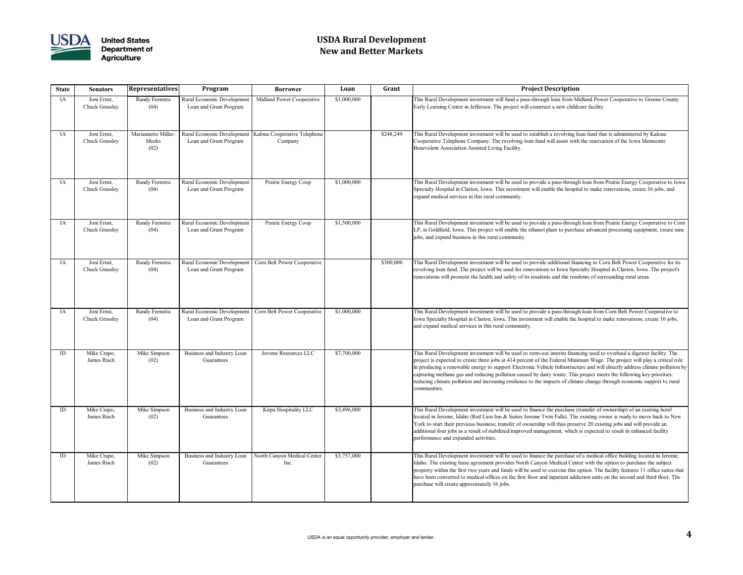

# **USDA Rural Development New and Better Markets**

### **State Senators Representatives Program Borrower Loan Grant Project Description**

is Rural Development investment will fund a pass-through loan from Midland Power Cooperative to Greene County rly Learning Center in Jefferson. The project will construct a new childcare facility.

is Rural Development investment will be used to establish a revolving loan fund that is administered by Kalona operative Telephone Company. The revolving loan fund will assist with the renovation of the Iowa Mennonite nevolent Association Assisted Living Facility.

is Rural Development investment will be used to provide a pass-through loan from Prairie Energy Cooperative to Iowa ecialty Hospital in Clarion, Iowa. This investment will enable the hospital to make renovations, create 16 jobs, and band medical services in this rural community.

Is Rural Development investment will be used to provide a pass-through loan from Prairie Energy Cooperative to Corn , in Goldfield, Iowa. This project will enable the ethanol plant to purchase advanced processing equipment, create nine s, and expand business in this rural community.

is Rural Development investment will be used to provide additional financing to Corn Belt Power Cooperative for its volving loan fund. The project will be used for renovations to Iowa Specialty Hospital in Clarion, Iowa. The project's ovations will promote the health and safety of its residents and the residents of surrounding rural areas.

is Rural Development investment will be used to provide a pass-through loan from Corn Belt Power Cooperative to va Specialty Hospital in Clarion, Iowa. This investment will enable the hospital to make renovations, create 16 jobs, I expand medical services in this rural community.

is Rural Development investment will be used to term-out interim financing used to overhaul a digester facility. The pject is expected to create three jobs at 414 percent of the Federal Minimum Wage. The project will play a critical role broducing a renewable energy to support Electronic Vehicle Infrastructure and will directly address climate pollution by turing methane gas and reducing pollution caused by dairy waste. This project meets the following key priorities: ucing climate pollution and increasing resilience to the impacts of climate change through economic support to rural mmunities.

is Rural Development investment will be used to finance the purchase (transfer of ownership) of an existing hotel ated in Jerome, Idaho (Red Lion Inn & Suites Jerome Twin Falls). The existing owner is ready to move back to New rk to start their previous business; transfer of ownership will thus preserve 20 existing jobs and will provide an litional four jobs as a result of stabilized/improved management, which is expected to result in enhanced facility formance and expanded activities.

is Rural Development investment will be used to finance the purchase of a medical office building located in Jerome, ho. The existing lease agreement provides North Canyon Medical Center with the option to purchase the subject perty within the first two years and funds will be used to exercise this option. The facility features 11 office suites that re been converted to medical offices on the first floor and inpatient addiction units on the second and third floor. The chase will create approximately 16 jobs.

| <b>State</b> | <b>Senators</b>                      | <b>Representatives</b>               | Program                                              | <b>Borrower</b>                         | Loan        | Grant     |                                            |
|--------------|--------------------------------------|--------------------------------------|------------------------------------------------------|-----------------------------------------|-------------|-----------|--------------------------------------------|
| IA           | Joni Ernst,<br><b>Chuck Grassley</b> | Randy Feenstra<br>(04)               | Rural Economic Development<br>Loan and Grant Program | Midland Power Cooperative               | \$1,000,000 |           | Thi<br>Ear                                 |
| IA           | Joni Ernst,<br><b>Chuck Grassley</b> | Mariannette Miller-<br>Meeks<br>(02) | Rural Economic Development<br>Loan and Grant Program | Kalona Cooperative Telephone<br>Company |             | \$248,249 | Thi<br>Co<br><b>Bel</b>                    |
| IA           | Joni Ernst,<br><b>Chuck Grassley</b> | Randy Feenstra<br>(04)               | Rural Economic Development<br>Loan and Grant Program | Prairie Energy Coop                     | \$1,000,000 |           | Thi<br>Spo<br>exp                          |
| IA           | Joni Ernst,<br><b>Chuck Grassley</b> | Randy Feenstra<br>(04)               | Rural Economic Development<br>Loan and Grant Program | Prairie Energy Coop                     | \$1,500,000 |           | Thi<br>LP<br>job                           |
| IA           | Joni Ernst,<br><b>Chuck Grassley</b> | Randy Feenstra<br>(04)               | Rural Economic Development<br>Loan and Grant Program | Corn Belt Power Cooperative             |             | \$300,000 | Thi<br>rev<br>ren                          |
| IA           | Joni Ernst,<br>Chuck Grassley        | Randy Feenstra<br>(04)               | Rural Economic Development<br>Loan and Grant Program | Corn Belt Power Cooperative             | \$1,000,000 |           | Thi<br>Iov<br>and                          |
| ID           | Mike Crapo,<br>James Risch           | Mike Simpson<br>(02)                 | Business and Industry Loan<br>Guarantees             | Jerome Resources LLC                    | \$7,700,000 |           | Thi<br>pro<br>$\ln t$<br>cap<br>red<br>cor |
| ID           | Mike Crapo,<br>James Risch           | Mike Simpson<br>(02)                 | Business and Industry Loan<br>Guarantees             | Kirpa Hospitality LLC                   | \$3,496,000 |           | Thi<br>loc<br>Yo<br>adc<br>per             |
| ID           | Mike Crapo,<br>James Risch           | Mike Simpson<br>(02)                 | Business and Industry Loan<br>Guarantees             | North Canyon Medical Center<br>Inc.     | \$3,757,000 |           | Thi<br>Ida<br>pro<br>hav<br>pur            |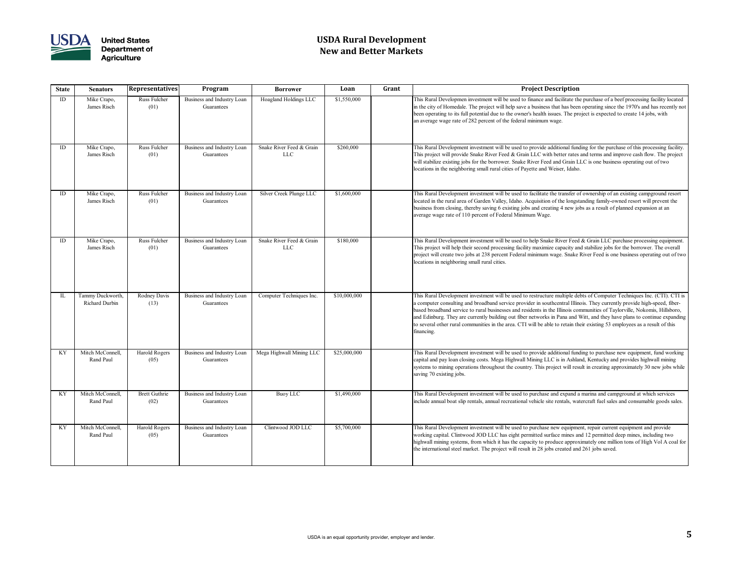

# **USDA Rural Development New and Better Markets**

| <b>State</b>               | <b>Senators</b>                    | <b>Representatives</b>       | Program                                  | <b>Borrower</b>                        | Loan         | Grant | <b>Project Description</b>                                                                                                                                                                                                                                                                                                                                                                                             |
|----------------------------|------------------------------------|------------------------------|------------------------------------------|----------------------------------------|--------------|-------|------------------------------------------------------------------------------------------------------------------------------------------------------------------------------------------------------------------------------------------------------------------------------------------------------------------------------------------------------------------------------------------------------------------------|
| ID                         | Mike Crapo,<br>James Risch         | Russ Fulcher<br>(01)         | Business and Industry Loan<br>Guarantees | Hoagland Holdings LLC                  | \$1,550,000  |       | This Rural Developmen investment will be used to finance and facilitate th<br>in the city of Homedale. The project will help save a business that has been<br>been operating to its full potential due to the owner's health issues. The pro-<br>an average wage rate of 282 percent of the federal minimum wage.                                                                                                      |
| ID                         | Mike Crapo,<br>James Risch         | Russ Fulcher<br>(01)         | Business and Industry Loan<br>Guarantees | Snake River Feed & Grain<br><b>LLC</b> | \$260,000    |       | This Rural Development investment will be used to provide additional fund<br>This project will provide Snake River Feed & Grain LLC with better rates<br>will stabilize existing jobs for the borrower. Snake River Feed and Grain L<br>locations in the neighboring small rural cities of Payette and Weiser, Idaho                                                                                                   |
| ID                         | Mike Crapo,<br>James Risch         | Russ Fulcher<br>(01)         | Business and Industry Loan<br>Guarantees | Silver Creek Plunge LLC                | \$1,600,000  |       | This Rural Development investment will be used to facilitate the transfer o<br>located in the rural area of Garden Valley, Idaho. Acquisition of the longst<br>business from closing, thereby saving 6 existing jobs and creating 4 new jo<br>average wage rate of 110 percent of Federal Minimum Wage.                                                                                                                |
| ID                         | Mike Crapo,<br>James Risch         | Russ Fulcher<br>(01)         | Business and Industry Loan<br>Guarantees | Snake River Feed & Grain<br><b>LLC</b> | \$180,000    |       | This Rural Development investment will be used to help Snake River Feed<br>This project will help their second processing facility maximize capacity ar<br>project will create two jobs at 238 percent Federal minimum wage. Snake<br>locations in neighboring small rural cities.                                                                                                                                     |
| $\mathop{\rm IL}\nolimits$ | Tammy Duckworth,<br>Richard Durbin | Rodney Davis<br>(13)         | Business and Industry Loan<br>Guarantees | Computer Techniques Inc.               | \$10,000,000 |       | This Rural Development investment will be used to restructure multiple de<br>a computer consulting and broadband service provider in southcentral Illin<br>based broadband service to rural businesses and residents in the Illinois cor<br>and Edinburg. They are currently building out fiber networks in Pana and '<br>to several other rural communities in the area. CTI will be able to retain the<br>financing. |
| KY                         | Mitch McConnell,<br>Rand Paul      | Harold Rogers<br>(05)        | Business and Industry Loan<br>Guarantees | Mega Highwall Mining LLC               | \$25,000,000 |       | This Rural Development investment will be used to provide additional fund<br>capital and pay loan closing costs. Mega Highwall Mining LLC is in Ashla<br>systems to mining operations throughout the country. This project will res<br>saving 70 existing jobs.                                                                                                                                                        |
| KY                         | Mitch McConnell,<br>Rand Paul      | <b>Brett Guthrie</b><br>(02) | Business and Industry Loan<br>Guarantees | Buoy LLC                               | \$1,490,000  |       | This Rural Development investment will be used to purchase and expand a<br>include annual boat slip rentals, annual recreational vehicle site rentals, wa                                                                                                                                                                                                                                                              |
| KY                         | Mitch McConnell,<br>Rand Paul      | Harold Rogers<br>(05)        | Business and Industry Loan<br>Guarantees | Clintwood JOD LLC                      | \$5,700,000  |       | This Rural Development investment will be used to purchase new equipme<br>working capital. Clintwood JOD LLC has eight permitted surface mines an<br>highwall mining systems, from which it has the capacity to produce approx<br>the international steel market. The project will result in 28 jobs created and                                                                                                       |

is Rural Developmen investment will be used to finance and facilitate the purchase of a beef processing facility located he city of Homedale. The project will help save a business that has been operating since the 1970's and has recently not en operating to its full potential due to the owner's health issues. The project is expected to create 14 jobs, with average wage rate of 282 percent of the federal minimum wage.

is Rural Development investment will be used to provide additional funding for the purchase of this processing facility. is project will provide Snake River Feed  $\&$  Grain LLC with better rates and terms and improve cash flow. The project I stabilize existing jobs for the borrower. Snake River Feed and Grain LLC is one business operating out of two ations in the neighboring small rural cities of Payette and Weiser, Idaho.

is Rural Development investment will be used to facilitate the transfer of ownership of an existing campground resort ated in the rural area of Garden Valley, Idaho. Acquisition of the longstanding family-owned resort will prevent the siness from closing, thereby saving 6 existing jobs and creating 4 new jobs as a result of planned expansion at an erage wage rate of 110 percent of Federal Minimum Wage.

is Rural Development investment will be used to help Snake River Feed & Grain LLC purchase processing equipment. is project will help their second processing facility maximize capacity and stabilize jobs for the borrower. The overall pject will create two jobs at 238 percent Federal minimum wage. Snake River Feed is one business operating out of two ations in neighboring small rural cities.

is Rural Development investment will be used to restructure multiple debts of Computer Techniques Inc. (CTI). CTI is omputer consulting and broadband service provider in southcentral Illinois. They currently provide high-speed, fibered broadband service to rural businesses and residents in the Illinois communities of Taylorville, Nokomis, Hillsboro, I Edinburg. They are currently building out fiber networks in Pana and Witt, and they have plans to continue expanding several other rural communities in the area. CTI will be able to retain their existing 53 employees as a result of this ancing.

is Rural Development investment will be used to provide additional funding to purchase new equipment, fund working vital and pay loan closing costs. Mega Highwall Mining LLC is in Ashland, Kentucky and provides highwall mining tems to mining operations throughout the country. This project will result in creating approximately 30 new jobs while ing 70 existing jobs.

is Rural Development investment will be used to purchase and expand a marina and campground at which services lude annual boat slip rentals, annual recreational vehicle site rentals, watercraft fuel sales and consumable goods sales.

is Rural Development investment will be used to purchase new equipment, repair current equipment and provide rking capital. Clintwood JOD LLC has eight permitted surface mines and 12 permitted deep mines, including two hwall mining systems, from which it has the capacity to produce approximately one million tons of High Vol A coal for international steel market. The project will result in 28 jobs created and 261 jobs saved.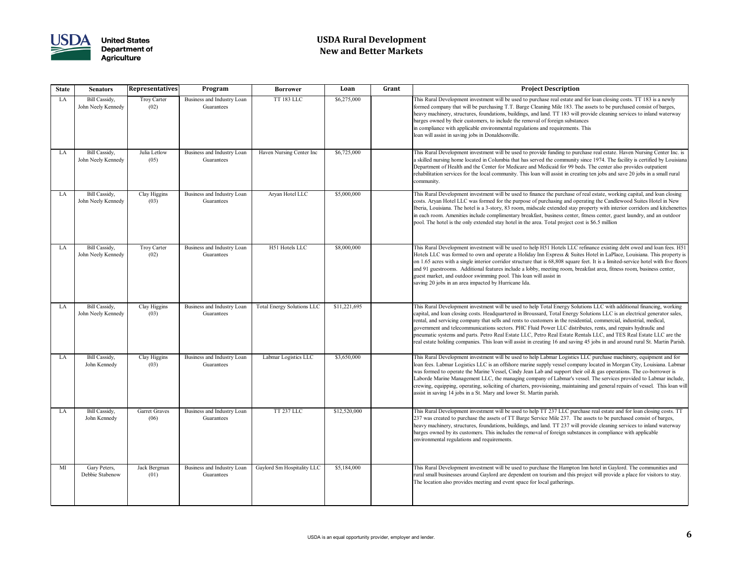

# **USDA Rural Development New and Better Markets**

| <b>State</b> | <b>Senators</b>                     | <b>Representatives</b>       | Program                                  | <b>Borrower</b>                   | Loan         | Grant | <b>Project Description</b>                                                                                                                                                                                                                                                                                                                                                                                                                                                 |
|--------------|-------------------------------------|------------------------------|------------------------------------------|-----------------------------------|--------------|-------|----------------------------------------------------------------------------------------------------------------------------------------------------------------------------------------------------------------------------------------------------------------------------------------------------------------------------------------------------------------------------------------------------------------------------------------------------------------------------|
| LA           | Bill Cassidy,<br>John Neely Kennedy | Troy Carter<br>(02)          | Business and Industry Loan<br>Guarantees | <b>TT 183 LLC</b>                 | \$6,275,000  |       | This Rural Development investment will be used to purchase real estate an<br>formed company that will be purchasing T.T. Barge Cleaning Mile 183. Tl<br>heavy machinery, structures, foundations, buildings, and land. TT 183 will<br>barges owned by their customers, to include the removal of foreign substa<br>in compliance with applicable environmental regulations and requirements.<br>loan will assist in saving jobs in Donaldsonville.                         |
| LA           | Bill Cassidy,<br>John Neely Kennedy | Julia Letlow<br>(05)         | Business and Industry Loan<br>Guarantees | Haven Nursing Center Inc          | \$6,725,000  |       | This Rural Development investment will be used to provide funding to pur<br>a skilled nursing home located in Columbia that has served the community<br>Department of Health and the Center for Medicare and Medicaid for 99 be<br>rehabilitation services for the local community. This loan will assist in crea<br>community.                                                                                                                                            |
| LA           | Bill Cassidy,<br>John Neely Kennedy | Clay Higgins<br>(03)         | Business and Industry Loan<br>Guarantees | Aryan Hotel LLC                   | \$5,000,000  |       | This Rural Development investment will be used to finance the purchase o<br>costs. Aryan Hotel LLC was formed for the purpose of purchasing and op<br>Iberia, Louisiana. The hotel is a 3-story, 83 room, midscale extended stay<br>in each room. Amenities include complimentary breakfast, business center,<br>pool. The hotel is the only extended stay hotel in the area. Total project co                                                                             |
| LA           | Bill Cassidy,<br>John Neely Kennedy | Troy Carter<br>(02)          | Business and Industry Loan<br>Guarantees | H51 Hotels LLC                    | \$8,000,000  |       | This Rural Development investment will be used to help H51 Hotels LLC<br>Hotels LLC was formed to own and operate a Holiday Inn Express & Suit<br>on 1.65 acres with a single interior corridor structure that is 68,808 square<br>and 91 guestrooms. Additional features include a lobby, meeting room, br<br>guest market, and outdoor swimming pool. This loan will assist in<br>saving 20 jobs in an area impacted by Hurricane Ida.                                   |
| LA           | Bill Cassidy,<br>John Neely Kennedy | Clay Higgins<br>(03)         | Business and Industry Loan<br>Guarantees | <b>Total Energy Solutions LLC</b> | \$11,221,695 |       | This Rural Development investment will be used to help Total Energy Sol<br>capital, and loan closing costs. Headquartered in Broussard, Total Energy<br>rental, and servicing company that sells and rents to customers in the resid<br>government and telecommunications sectors. PHC Fluid Power LLC distri<br>pneumatic systems and parts. Petro Real Estate LLC, Petro Real Estate Re<br>real estate holding companies. This loan will assist in creating 16 and savir |
| LA           | Bill Cassidy,<br>John Kennedy       | Clay Higgins<br>(03)         | Business and Industry Loan<br>Guarantees | Labmar Logistics LLC              | \$3,650,000  |       | This Rural Development investment will be used to help Labmar Logistics<br>loan fees. Labmar Logistics LLC is an offshore marine supply vessel comp<br>was formed to operate the Marine Vessel, Cindy Jean Lab and support the<br>Laborde Marine Management LLC, the managing company of Labmar's ve<br>crewing, equipping, operating, soliciting of charters, provisioning, maintain<br>assist in saving 14 jobs in a St. Mary and lower St. Martin parish.               |
| LA           | Bill Cassidy,<br>John Kennedy       | <b>Garret Graves</b><br>(06) | Business and Industry Loan<br>Guarantees | <b>TT 237 LLC</b>                 | \$12,520,000 |       | This Rural Development investment will be used to help TT 237 LLC puro<br>237 was created to purchase the assets of TT Barge Service Mile 237. Th<br>heavy machinery, structures, foundations, buildings, and land. TT 237 will<br>barges owned by its customers. This includes the removal of foreign substa<br>environmental regulations and requirements.                                                                                                               |
| MI           | Gary Peters,<br>Debbie Stabenow     | Jack Bergman<br>(01)         | Business and Industry Loan<br>Guarantees | Gaylord Sm Hospitality LLC        | \$5,184,000  |       | This Rural Development investment will be used to purchase the Hampton<br>rural small businesses around Gaylord are dependent on tourism and this p<br>The location also provides meeting and event space for local gatherings.                                                                                                                                                                                                                                            |

is Rural Development investment will be used to purchase real estate and for loan closing costs. TT 183 is a newly med company that will be purchasing T.T. Barge Cleaning Mile 183. The assets to be purchased consist of barges, heavy machinery, structures, foundations, buildings, and land. TT 183 will provide cleaning services to inland waterway ges owned by their customers, to include the removal of foreign substances compliance with applicable environmental regulations and requirements. This n will assist in saving jobs in Donaldsonville.

is Rural Development investment will be used to provide funding to purchase real estate. Haven Nursing Center Inc. is killed nursing home located in Columbia that has served the community since 1974. The facility is certified by Louisiana partment of Health and the Center for Medicare and Medicaid for 99 beds. The center also provides outpatient abilitation services for the local community. This loan will assist in creating ten jobs and save 20 jobs in a small rural nmunity.

It is Rural Development investment will be used to finance the purchase of real estate, working capital, and loan closing ts. Aryan Hotel LLC was formed for the purpose of purchasing and operating the Candlewood Suites Hotel in New ria, Louisiana. The hotel is a 3-story, 83 room, midscale extended stay property with interior corridors and kitchenettes each room. Amenities include complimentary breakfast, business center, fitness center, guest laundry, and an outdoor pl. The hotel is the only extended stay hotel in the area. Total project cost is \$6.5 million

is Rural Development investment will be used to help H51 Hotels LLC refinance existing debt owed and loan fees. H51 tels LLC was formed to own and operate a Holiday Inn Express & Suites Hotel in LaPlace, Louisiana. This property is 1.65 acres with a single interior corridor structure that is 68,808 square feet. It is a limited-service hotel with five floors 191 guestrooms. Additional features include a lobby, meeting room, breakfast area, fitness room, business center, est market, and outdoor swimming pool. This loan will assist in ing 20 jobs in an area impacted by Hurricane Ida.

Is Rural Development investment will be used to help Total Energy Solutions LLC with additional financing, working oital, and loan closing costs. Headquartered in Broussard, Total Energy Solutions LLC is an electrical generator sales, tal, and servicing company that sells and rents to customers in the residential, commercial, industrial, medical, vernment and telecommunications sectors. PHC Fluid Power LLC distributes, rents, and repairs hydraulic and eumatic systems and parts. Petro Real Estate LLC, Petro Real Estate Rentals LLC, and TES Real Estate LLC are the l estate holding companies. This loan will assist in creating 16 and saving 45 jobs in and around rural St. Martin Parish

is Rural Development investment will be used to help Labmar Logistics LLC purchase machinery, equipment and for n fees. Labmar Logistics LLC is an offshore marine supply vessel company located in Morgan City, Louisiana. Labmar s formed to operate the Marine Vessel, Cindy Jean Lab and support their oil & gas operations. The co-borrower is porde Marine Management LLC, the managing company of Labmar's vessel. The services provided to Labmar include, wing, equipping, operating, soliciting of charters, provisioning, maintaining and general repairs of vessel. This loan wil ist in saving 14 jobs in a St. Mary and lower St. Martin parish.

is Rural Development investment will be used to help TT 237 LLC purchase real estate and for loan closing costs. TT 7 was created to purchase the assets of TT Barge Service Mile 237. The assets to be purchased consist of barges, heavy machinery, structures, foundations, buildings, and land. TT 237 will provide cleaning services to inland waterway ges owned by its customers. This includes the removal of foreign substances in compliance with applicable ironmental regulations and requirements.

is Rural Development investment will be used to purchase the Hampton Inn hotel in Gaylord. The communities and al small businesses around Gaylord are dependent on tourism and this project will provide a place for visitors to stay. e location also provides meeting and event space for local gatherings.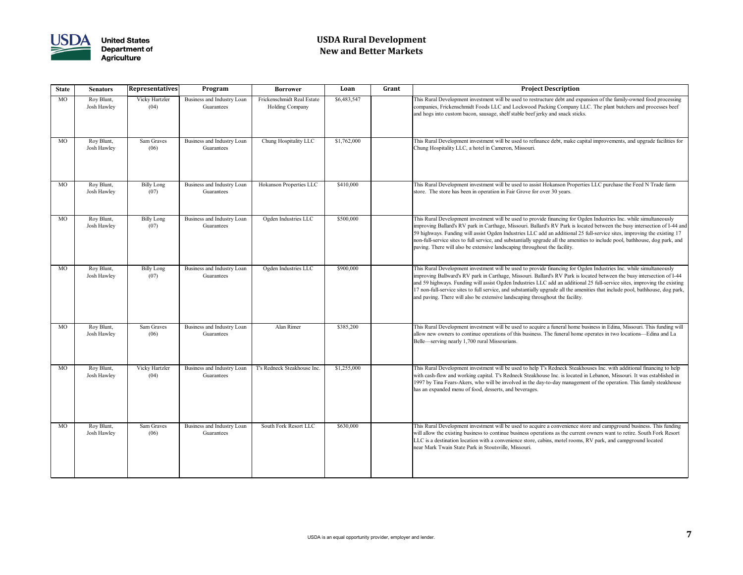

# **USDA Rural Development New and Better Markets**

### **State Senators Representatives Program Borrower Loan Grant Project Description**

is Rural Development investment will be used to restructure debt and expansion of the family-owned food processing mpanies, Frickenschmidt Foods LLC and Lockwood Packing Company LLC. The plant butchers and processes beef l hogs into custom bacon, sausage, shelf stable beef jerky and snack sticks.

is Rural Development investment will be used to refinance debt, make capital improvements, and upgrade facilities for ung Hospitality LLC, a hotel in Cameron, Missouri.

is Rural Development investment will be used to assist Hokanson Properties LLC purchase the Feed N Trade farm re. The store has been in operation in Fair Grove for over 30 years.

is Rural Development investment will be used to provide financing for Ogden Industries Inc. while simultaneously proving Ballard's RV park in Carthage, Missouri. Ballard's RV Park is located between the busy intersection of I-44 and highways. Funding will assist Ogden Industries LLC add an additional 25 full-service sites, improving the existing 17 n-full-service sites to full service, and substantially upgrade all the amenities to include pool, bathhouse, dog park, and ving. There will also be extensive landscaping throughout the facility.

is Rural Development investment will be used to provide financing for Ogden Industries Inc. while simultaneously proving Ballward's RV park in Carthage, Missouri. Ballard's RV Park is located between the busy intersection of I-44 159 highways. Funding will assist Ogden Industries LLC add an additional 25 full-service sites, improving the existing non-full-service sites to full service, and substantially upgrade all the amenities that include pool, bathhouse, dog park, I paving. There will also be extensive landscaping throughout the facility.

is Rural Development investment will be used to acquire a funeral home business in Edina, Missouri. This funding will ow new owners to continue operations of this business. The funeral home operates in two locations—Edina and La lle—serving nearly 1,700 rural Missourians.

Is Rural Development investment will be used to help T's Redneck Steakhouses Inc. with additional financing to help th cash-flow and working capital. T's Redneck Steakhouse Inc. is located in Lebanon, Missouri. It was established in 97 by Tina Fears-Akers, who will be involved in the day-to-day management of the operation. This family steakhouse an expanded menu of food, desserts, and beverages.

is Rural Development investment will be used to acquire a convenience store and campground business. This funding Il allow the existing business to continue business operations as the current owners want to retire. South Fork Resort C is a destination location with a convenience store, cabins, motel rooms, RV park, and campground located ar Mark Twain State Park in Stoutsville, Missouri.

| <b>State</b> | <b>Senators</b>           | <b>Representatives</b><br>Program<br><b>Borrower</b> |                                          | Loan                                          | Grant       |                                |
|--------------|---------------------------|------------------------------------------------------|------------------------------------------|-----------------------------------------------|-------------|--------------------------------|
| MO           | Roy Blunt,<br>Josh Hawley | Vicky Hartzler<br>(04)                               | Business and Industry Loan<br>Guarantees | Frickenschmidt Real Estate<br>Holding Company | \$6,483,547 | Thi<br>cor<br>and              |
| <b>MO</b>    | Roy Blunt,<br>Josh Hawley | <b>Sam Graves</b><br>(06)                            | Business and Industry Loan<br>Guarantees | Chung Hospitality LLC                         | \$1,762,000 | Thi<br>Ch                      |
| <b>MO</b>    | Roy Blunt,<br>Josh Hawley | <b>Billy Long</b><br>(07)                            | Business and Industry Loan<br>Guarantees | Hokanson Properties LLC                       | \$410,000   | Thi<br>sto                     |
| <b>MO</b>    | Roy Blunt,<br>Josh Hawley | <b>Billy Long</b><br>(07)                            | Business and Industry Loan<br>Guarantees | Ogden Industries LLC                          | \$500,000   | Thi<br>imp<br>59<br>nor<br>pay |
| <b>MO</b>    | Roy Blunt,<br>Josh Hawley | <b>Billy Long</b><br>(07)                            | Business and Industry Loan<br>Guarantees | Ogden Industries LLC                          | \$900,000   | Thi<br>imp<br>and<br>17<br>and |
| <b>MO</b>    | Roy Blunt,<br>Josh Hawley | Sam Graves<br>(06)                                   | Business and Industry Loan<br>Guarantees | Alan Rimer                                    | \$385,200   | Thi<br>allo<br>Bel             |
| <b>MO</b>    | Roy Blunt,<br>Josh Hawley | Vicky Hartzler<br>(04)                               | Business and Industry Loan<br>Guarantees | T's Redneck Steakhouse Inc.                   | \$1,255,000 | Thi<br>wit<br>199<br>has       |
| <b>MO</b>    | Roy Blunt,<br>Josh Hawley | Sam Graves<br>(06)                                   | Business and Industry Loan<br>Guarantees | South Fork Resort LLC                         | \$630,000   | Thi<br>wil<br>LL<br>nea        |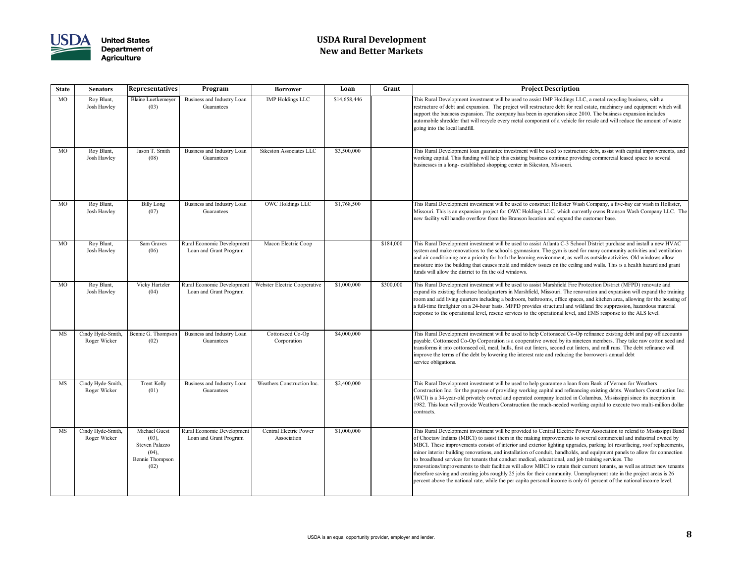

# **USDA Rural Development New and Better Markets**

| <b>State</b> | <b>Senators</b>                   | <b>Representatives</b>                                                              | Program                                              | <b>Borrower</b>                              | Loan         | Grant     | <b>Project Description</b>                                                                                                                                                                                                                                                                                                                                                                                                                                                                                                                                                                                                                    |
|--------------|-----------------------------------|-------------------------------------------------------------------------------------|------------------------------------------------------|----------------------------------------------|--------------|-----------|-----------------------------------------------------------------------------------------------------------------------------------------------------------------------------------------------------------------------------------------------------------------------------------------------------------------------------------------------------------------------------------------------------------------------------------------------------------------------------------------------------------------------------------------------------------------------------------------------------------------------------------------------|
| <b>MO</b>    | Roy Blunt,<br>Josh Hawley         | <b>Blaine Luetkemeyer</b><br>(03)                                                   | Business and Industry Loan<br>Guarantees             | <b>IMP Holdings LLC</b>                      | \$14,658,446 |           | This Rural Development investment will be used to assist IMP Holdings L<br>restructure of debt and expansion. The project will restructure debt for re<br>support the business expansion. The company has been in operation since<br>automobile shredder that will recycle every metal component of a vehicle 1<br>going into the local landfill.                                                                                                                                                                                                                                                                                             |
| <b>MO</b>    | Roy Blunt,<br>Josh Hawley         | Jason T. Smith<br>(08)                                                              | Business and Industry Loan<br>Guarantees             | Sikeston Associates LLC                      | \$3,500,000  |           | This Rural Development loan guarantee investment will be used to restruc<br>working capital. This funding will help this existing business continue prov<br>businesses in a long-established shopping center in Sikeston, Missouri.                                                                                                                                                                                                                                                                                                                                                                                                           |
| <b>MO</b>    | Roy Blunt,<br>Josh Hawley         | <b>Billy Long</b><br>(07)                                                           | Business and Industry Loan<br>Guarantees             | <b>OWC Holdings LLC</b>                      | \$1,768,500  |           | This Rural Development investment will be used to construct Hollister Wa<br>Missouri. This is an expansion project for OWC Holdings LLC, which cur<br>new facility will handle overflow from the Branson location and expand th                                                                                                                                                                                                                                                                                                                                                                                                               |
| <b>MO</b>    | Roy Blunt,<br>Josh Hawley         | Sam Graves<br>(06)                                                                  | Rural Economic Development<br>Loan and Grant Program | Macon Electric Coop                          |              | \$184,000 | This Rural Development investment will be used to assist Atlanta C-3 Sch<br>system and make renovations to the school's gymnasium. The gym is used<br>and air conditioning are a priority for both the learning environment, as we<br>moisture into the building that causes mold and mildew issues on the ceilin<br>funds will allow the district to fix the old windows.                                                                                                                                                                                                                                                                    |
| <b>MO</b>    | Roy Blunt,<br>Josh Hawley         | Vicky Hartzler<br>(04)                                                              | Rural Economic Development<br>Loan and Grant Program | Webster Electric Cooperative                 | \$1,000,000  | \$300,000 | This Rural Development investment will be used to assist Marshfield Fire 1<br>expand its existing firehouse headquarters in Marshfield, Missouri. The ren<br>room and add living quarters including a bedroom, bathrooms, office space<br>a full-time firefighter on a 24-hour basis. MFPD provides structural and w<br>response to the operational level, rescue services to the operational level, a                                                                                                                                                                                                                                        |
| <b>MS</b>    | Cindy Hyde-Smith,<br>Roger Wicker | Bennie G. Thompson<br>(02)                                                          | Business and Industry Loan<br>Guarantees             | Cottonseed Co-Op<br>Corporation              | \$4,000,000  |           | This Rural Development investment will be used to help Cottonseed Co-O<br>payable. Cottonseed Co-Op Corporation is a cooperative owned by its nin<br>transforms it into cottonseed oil, meal, hulls, first cut linters, second cut lin<br>improve the terms of the debt by lowering the interest rate and reducing th<br>service obligations.                                                                                                                                                                                                                                                                                                 |
| <b>MS</b>    | Cindy Hyde-Smith,<br>Roger Wicker | Trent Kelly<br>(01)                                                                 | Business and Industry Loan<br>Guarantees             | Weathers Construction Inc.                   | \$2,400,000  |           | This Rural Development investment will be used to help guarantee a loan :<br>Construction Inc. for the purpose of providing working capital and refinan<br>(WCI) is a 34-year-old privately owned and operated company located in<br>1982. This loan will provide Weathers Construction the much-needed wor<br>contracts.                                                                                                                                                                                                                                                                                                                     |
| <b>MS</b>    | Cindy Hyde-Smith,<br>Roger Wicker | Michael Guest<br>(03),<br>Steven Palazzo<br>(04),<br><b>Bennie Thompson</b><br>(02) | Rural Economic Development<br>Loan and Grant Program | <b>Central Electric Power</b><br>Association | \$1,000,000  |           | This Rural Development investment will be provided to Central Electric Post<br>of Choctaw Indians (MBCI) to assist them in the making improvements to<br>MBCI. These improvements consist of interior and exterior lighting upgra<br>minor interior building renovations, and installation of conduit, handholds,<br>to broadband services for tenants that conduct medical, educational, and jo<br>renovations/improvements to their facilities will allow MBCI to retain their<br>therefore saving and creating jobs roughly 25 jobs for their community. Un<br>percent above the national rate, while the per capita personal income is on |

In this Rural Development investment will be used to assist IMP Holdings LLC, a metal recycling business, with a tructure of debt and expansion. The project will restructure debt for real estate, machinery and equipment which will port the business expansion. The company has been in operation since 2010. The business expansion includes omobile shredder that will recycle every metal component of a vehicle for resale and will reduce the amount of waste ing into the local landfill.

is Rural Development loan guarantee investment will be used to restructure debt, assist with capital improvements, and rking capital. This funding will help this existing business continue providing commercial leased space to several sinesses in a long- established shopping center in Sikeston, Missouri.

is Rural Development investment will be used to construct Hollister Wash Company, a five-bay car wash in Hollister, ssouri. This is an expansion project for OWC Holdings LLC, which currently owns Branson Wash Company LLC. The w facility will handle overflow from the Branson location and expand the customer base.

is Rural Development investment will be used to assist Atlanta C-3 School District purchase and install a new HVAC tem and make renovations to the school's gymnasium. The gym is used for many community activities and ventilation l air conditioning are a priority for both the learning environment, as well as outside activities. Old windows allow isture into the building that causes mold and mildew issues on the ceiling and walls. This is a health hazard and grant ds will allow the district to fix the old windows.

is Rural Development investment will be used to assist Marshfield Fire Protection District (MFPD) renovate and band its existing firehouse headquarters in Marshfield, Missouri. The renovation and expansion will expand the training om and add living quarters including a bedroom, bathrooms, office spaces, and kitchen area, allowing for the housing of all-time firefighter on a 24-hour basis. MFPD provides structural and wildland fire suppression, hazardous material ponse to the operational level, rescue services to the operational level, and EMS response to the ALS level.

is Rural Development investment will be used to help Cottonseed Co-Op refinance existing debt and pay off accounts vable. Cottonseed Co-Op Corporation is a cooperative owned by its nineteen members. They take raw cotton seed and nsforms it into cottonseed oil, meal, hulls, first cut linters, second cut linters, and mill runs. The debt refinance will brove the terms of the debt by lowering the interest rate and reducing the borrower's annual debt vice obligations.

is Rural Development investment will be used to help guarantee a loan from Bank of Vernon for Weathers nstruction Inc. for the purpose of providing working capital and refinancing existing debts. Weathers Construction Inc (WCI) is a 34-year-old privately owned and operated company located in Columbus, Mississippi since its inception in 1982. This loan will provide Weathers Construction the much-needed working capital to execute two multi-million dollar ntracts.

is Rural Development investment will be provided to Central Electric Power Association to relend to Mississippi Band Choctaw Indians (MBCI) to assist them in the making improvements to several commercial and industrial owned by BCI. These improvements consist of interior and exterior lighting upgrades, parking lot resurfacing, roof replacements, nor interior building renovations, and installation of conduit, handholds, and equipment panels to allow for connection broadband services for tenants that conduct medical, educational, and job training services. The ovations/improvements to their facilities will allow MBCI to retain their current tenants, as well as attract new tenants refore saving and creating jobs roughly 25 jobs for their community. Unemployment rate in the project areas is 26 cent above the national rate, while the per capita personal income is only 61 percent of the national income level.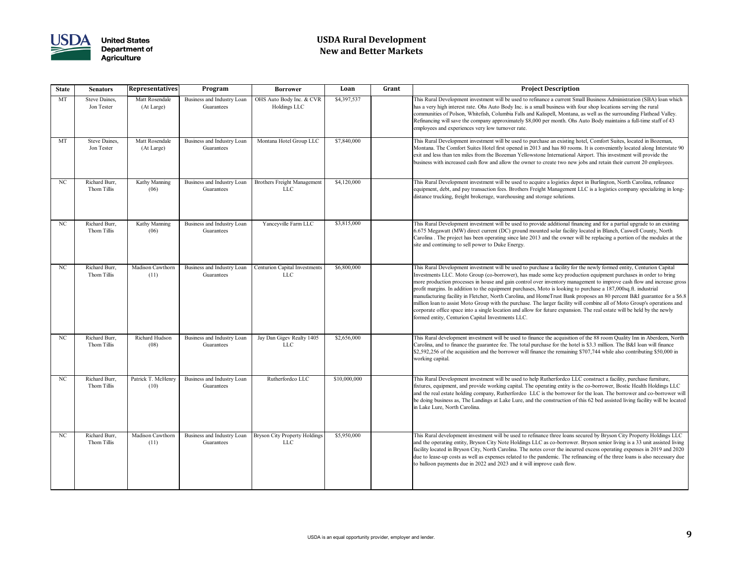

# **USDA Rural Development New and Better Markets**

| <b>State</b> | <b>Senators</b>              | <b>Representatives</b>       | Program                                  | <b>Borrower</b>                                    | Loan         | Grant | <b>Project Description</b>                                                                                                                                                                                                                                                                                                                                                                                                                                                                                                                                                                                |
|--------------|------------------------------|------------------------------|------------------------------------------|----------------------------------------------------|--------------|-------|-----------------------------------------------------------------------------------------------------------------------------------------------------------------------------------------------------------------------------------------------------------------------------------------------------------------------------------------------------------------------------------------------------------------------------------------------------------------------------------------------------------------------------------------------------------------------------------------------------------|
| MT           | Steve Daines,<br>Jon Tester  | Matt Rosendale<br>(At Large) | Business and Industry Loan<br>Guarantees | OHS Auto Body Inc. & CVR<br>Holdings LLC           | \$4,397,537  |       | This Rural Development investment will be used to refinance a current Sm<br>has a very high interest rate. Ohs Auto Body Inc. is a small business with f<br>communities of Polson, Whitefish, Columbia Falls and Kalispell, Montana,<br>Refinancing will save the company approximately \$8,000 per month. Ohs.<br>employees and experiences very low turnover rate.                                                                                                                                                                                                                                      |
| <b>MT</b>    | Steve Daines,<br>Jon Tester  | Matt Rosendale<br>(At Large) | Business and Industry Loan<br>Guarantees | Montana Hotel Group LLC                            | \$7,840,000  |       | This Rural Development investment will be used to purchase an existing he<br>Montana. The Comfort Suites Hotel first opened in 2013 and has 80 room<br>exit and less than ten miles from the Bozeman Yellowstone International A<br>business with increased cash flow and allow the owner to create two new                                                                                                                                                                                                                                                                                               |
| NC           | Richard Burr,<br>Thom Tillis | Kathy Manning<br>(06)        | Business and Industry Loan<br>Guarantees | <b>Brothers Freight Management</b><br><b>LLC</b>   | \$4,120,000  |       | This Rural Development investment will be used to acquire a logistics dep<br>equipment, debt, and pay transaction fees. Brothers Freight Management I<br>distance trucking, freight brokerage, warehousing and storage solutions.                                                                                                                                                                                                                                                                                                                                                                         |
| NC           | Richard Burr,<br>Thom Tillis | Kathy Manning<br>(06)        | Business and Industry Loan<br>Guarantees | Yanceyville Farm LLC                               | \$3,815,000  |       | This Rural Development investment will be used to provide additional fina<br>$6.675$ Megawatt (MW) direct current (DC) ground mounted solar facility<br>Carolina. The project has been operating since late 2013 and the owner w<br>site and continuing to sell power to Duke Energy.                                                                                                                                                                                                                                                                                                                     |
| NC           | Richard Burr,<br>Thom Tillis | Madison Cawthorn<br>(11)     | Business and Industry Loan<br>Guarantees | <b>Centurion Capital Investments</b><br><b>LLC</b> | \$6,800,000  |       | This Rural Development investment will be used to purchase a facility for<br>Investments LLC. Moto Group (co-borrower), has made some key produc<br>more production processes in house and gain control over inventory mana<br>profit margins. In addition to the equipment purchases, Moto is looking to<br>manufacturing facility in Fletcher, North Carolina, and HomeTrust Bank p<br>million loan to assist Moto Group with the purchase. The larger facility wi<br>corporate office space into a single location and allow for future expansion<br>formed entity, Centurion Capital Investments LLC. |
| NC           | Richard Burr,<br>Thom Tillis | Richard Hudson<br>(08)       | Business and Industry Loan<br>Guarantees | Jay Dan Gigev Realty 1405<br>LLC                   | \$2,656,000  |       | This Rural development investment will be used to finance the acquisition<br>Carolina, and to finance the guarantee fee. The total purchase for the hote<br>$\vert$ \$2,592,256 of the acquisition and the borrower will finance the remaining<br>working capital.                                                                                                                                                                                                                                                                                                                                        |
| NC           | Richard Burr,<br>Thom Tillis | Patrick T. McHenry<br>(10)   | Business and Industry Loan<br>Guarantees | Rutherfordco LLC                                   | \$10,000,000 |       | This Rural Development investment will be used to help Rutherfordco LL<br>fixtures, equipment, and provide working capital. The operating entity is tl<br>and the real estate holding company, Rutherfordco LLC is the borrower f<br>be doing business as, The Landings at Lake Lure, and the construction of<br>in Lake Lure, North Carolina.                                                                                                                                                                                                                                                            |
| NC           | Richard Burr,<br>Thom Tillis | Madison Cawthorn<br>(11)     | Business and Industry Loan<br>Guarantees | Bryson City Property Holdings<br><b>LLC</b>        | \$5,950,000  |       | This Rural development investment will be used to refinance three loans se<br>and the operating entity, Bryson City Note Holdings LLC as co-borrower.<br>facility located in Bryson City, North Carolina. The notes cover the incurre<br>due to lease-up costs as well as expenses related to the pandemic. The refi<br>to balloon payments due in 2022 and 2023 and it will improve cash flow.                                                                                                                                                                                                           |

is Rural Development investment will be used to refinance a current Small Business Administration (SBA) loan which a very high interest rate. Ohs Auto Body Inc. is a small business with four shop locations serving the rural nmunities of Polson, Whitefish, Columbia Falls and Kalispell, Montana, as well as the surrounding Flathead Valley. financing will save the company approximately \$8,000 per month. Ohs Auto Body maintains a full-time staff of 43 ployees and experiences very low turnover rate.

is Rural Development investment will be used to purchase an existing hotel, Comfort Suites, located in Bozeman, ontana. The Comfort Suites Hotel first opened in 2013 and has 80 rooms. It is conveniently located along Interstate 90 t and less than ten miles from the Bozeman Yellowstone International Airport. This investment will provide the siness with increased cash flow and allow the owner to create two new jobs and retain their current 20 employees.

is Rural Development investment will be used to acquire a logistics depot in Burlington, North Carolina, refinance ipment, debt, and pay transaction fees. Brothers Freight Management LLC is a logistics company specializing in longtance trucking, freight brokerage, warehousing and storage solutions.

is Rural Development investment will be used to provide additional financing and for a partial upgrade to an existing 75 Megawatt (MW) direct current (DC) ground mounted solar facility located in Blanch, Caswell County, North rolina. The project has been operating since late 2013 and the owner will be replacing a portion of the modules at the and continuing to sell power to Duke Energy.

is Rural Development investment will be used to purchase a facility for the newly formed entity, Centurion Capital estments LLC. Moto Group (co-borrower), has made some key production equipment purchases in order to bring re production processes in house and gain control over inventory management to improve cash flow and increase gross fit margins. In addition to the equipment purchases, Moto is looking to purchase a 187,000sq.ft. industrial nufacturing facility in Fletcher, North Carolina, and HomeTrust Bank proposes an 80 percent B&I guarantee for a \$6.8 lion loan to assist Moto Group with the purchase. The larger facility will combine all of Moto Group's operations and porate office space into a single location and allow for future expansion. The real estate will be held by the newly med entity, Centurion Capital Investments LLC.

is Rural development investment will be used to finance the acquisition of the 88 room Quality Inn in Aberdeen, North rolina, and to finance the guarantee fee. The total purchase for the hotel is \$3.3 million. The B&I loan will finance 592,256 of the acquisition and the borrower will finance the remaining \$707,744 while also contributing \$50,000 in rking capital.

is Rural Development investment will be used to help Rutherfordco LLC construct a facility, purchase furniture, fixtures, equipment, and provide working capital. The operating entity is the co-borrower, Bostic Health Holdings LLC I the real estate holding company, Rutherfordco LLC is the borrower for the loan. The borrower and co-borrower will be doing business as, The Landings at Lake Lure, and the construction of this 62 bed assisted living facility will be located Lake Lure, North Carolina.

is Rural development investment will be used to refinance three loans secured by Bryson City Property Holdings LLC I the operating entity, Bryson City Note Holdings LLC as co-borrower. Bryson senior living is a 33 unit assisted living ility located in Bryson City, North Carolina. The notes cover the incurred excess operating expenses in 2019 and 2020 e to lease-up costs as well as expenses related to the pandemic. The refinancing of the three loans is also necessary due balloon payments due in 2022 and 2023 and it will improve cash flow.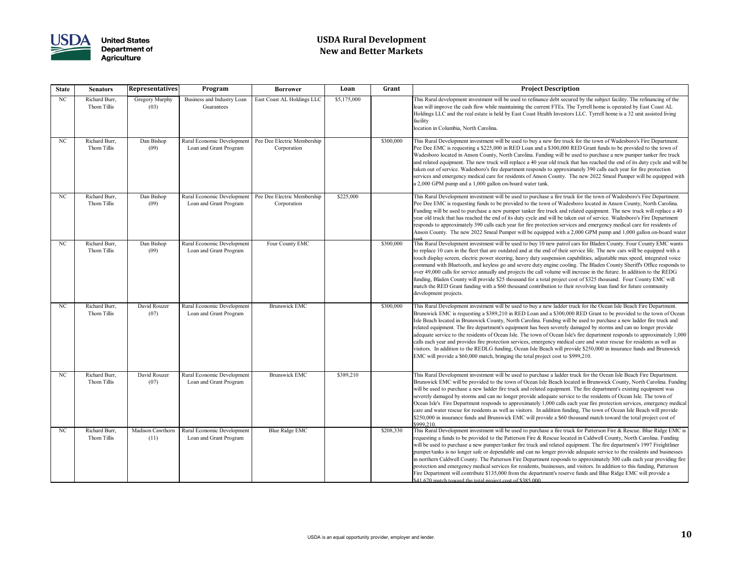

# **USDA Rural Development New and Better Markets**

| <b>State</b> | <b>Senators</b>              | <b>Representatives</b>   | Program                                              | <b>Borrower</b>                            | Loan        | Grant     | <b>Project Description</b>                                                                                                                                                                                                                                                                                                                                                                                                                                                                                                                                                                                                             |
|--------------|------------------------------|--------------------------|------------------------------------------------------|--------------------------------------------|-------------|-----------|----------------------------------------------------------------------------------------------------------------------------------------------------------------------------------------------------------------------------------------------------------------------------------------------------------------------------------------------------------------------------------------------------------------------------------------------------------------------------------------------------------------------------------------------------------------------------------------------------------------------------------------|
| NC           | Richard Burr,<br>Thom Tillis | Gregory Murphy<br>(03)   | Business and Industry Loan<br>Guarantees             | East Coast AL Holdings LLC                 | \$5,175,000 |           | This Rural development investment will be used to refinance debt secured<br>loan will improve the cash flow while maintaining the current FTEs. The T<br>Holdings LLC and the real estate is held by East Coast Health Investors L<br>facility<br>location in Columbia, North Carolina.                                                                                                                                                                                                                                                                                                                                                |
| NC           | Richard Burr,<br>Thom Tillis | Dan Bishop<br>(09)       | Rural Economic Development<br>Loan and Grant Program | Pee Dee Electric Membership<br>Corporation |             | \$300,000 | This Rural Development investment will be used to buy a new fire truck for<br>Pee Dee EMC is requesting a \$225,000 in RED Loan and a \$300,000 REI<br>Wadesboro located in Anson County, North Carolina. Funding will be use<br>and related equipment. The new truck will replace a 40 year old truck that<br>taken out of service. Wadesboro's fire department responds to approximat<br>services and emergency medical care for residents of Anson County. The<br>$ a 2,000$ GPM pump and a 1,000 gallon on-board water tank.                                                                                                       |
| NC           | Richard Burr,<br>Thom Tillis | Dan Bishop<br>(09)       | Rural Economic Development<br>Loan and Grant Program | Pee Dee Electric Membership<br>Corporation | \$225,000   |           | This Rural Development investment will be used to purchase a fire truck fo<br>Pee Dee EMC is requesting funds to be provided to the town of Wadesbor<br>Funding will be used to purchase a new pumper tanker fire truck and relate<br>year old truck that has reached the end of its duty cycle and will be taken of<br>responds to approximately 390 calls each year for fire protection services a<br>Anson County. The new 2022 Smeal Pumper will be equipped with a 2,00                                                                                                                                                           |
| NC           | Richard Burr,<br>Thom Tillis | Dan Bishop<br>(09)       | Rural Economic Development<br>Loan and Grant Program | Four County EMC                            |             | \$300,000 | This Rural Development investment will be used to buy 10 new patrol cars<br>to replace 10 cars in the fleet that are outdated and at the end of their serv<br>touch display screen, electric power steering, heavy duty suspension capab<br>command with Bluetooth, and keyless go and severe duty engine cooling.<br>over 49,000 calls for service annually and projects the call volume will ince<br>funding, Bladen County will provide \$25 thousand for a total project cost<br>match the RED Grant funding with a \$60 thousand contribution to their re<br>development projects.                                                |
| NC           | Richard Burr,<br>Thom Tillis | David Rouzer<br>(07)     | Rural Economic Development<br>Loan and Grant Program | <b>Brunswick EMC</b>                       |             | \$300,000 | This Rural Development investment will be used to buy a new ladder truck<br>Brunswick EMC is requesting a \$389,210 in RED Loan and a \$300,000 R<br>Isle Beach located in Brunswick County, North Carolina. Funding will be<br>related equipment. The fire department's equipment has been severely dam<br>adequate service to the residents of Ocean Isle. The town of Ocean Isle's f<br>calls each year and provides fire protection services, emergency medical ca<br>visitors. In addition to the REDLG funding, Ocean Isle Beach will provide<br>EMC will provide a \$60,000 match, bringing the total project cost to \$999     |
| NC           | Richard Burr,<br>Thom Tillis | David Rouzer<br>(07)     | Rural Economic Development<br>Loan and Grant Program | <b>Brunswick EMC</b>                       | \$389,210   |           | This Rural Development investment will be used to purchase a ladder truc.<br>Brunswick EMC will be provided to the town of Ocean Isle Beach located<br>will be used to purchase a new ladder fire truck and related equipment. Th<br>severely damaged by storms and can no longer provide adequate service to<br>Ocean Isle's Fire Department responds to approximately 1,000 calls each<br>care and water rescue for residents as well as visitors. In addition funding<br>\$250,000 in insurance funds and Brunswick EMC will provide a \$60 thous<br>\$999,210.                                                                     |
| NC           | Richard Burr,<br>Thom Tillis | Madison Cawthorn<br>(11) | Rural Economic Development<br>Loan and Grant Program | <b>Blue Ridge EMC</b>                      |             | \$208,330 | This Rural Development investment will be used to purchase a fire truck fo<br>requesting a funds to be provided to the Patterson Fire & Rescue located i<br>will be used to purchase a new pumper/tanker fire truck and related equipr<br>pumper/tanks is no longer safe or dependable and can no longer provide a<br>in northern Caldwell County. The Patterson Fire Department responds to a<br>protection and emergency medical services for residents, businesses, and v<br>Fire Department will contribute \$135,000 from the department's reserve fu<br>$\frac{1}{2}$ \$41.670 match toward the total project cost of \$385,000. |

Is Rural development investment will be used to refinance debt secured by the subject facility. The refinancing of the n will improve the cash flow while maintaining the current FTEs. The Tyrrell home is operated by East Coast AL ldings LLC and the real estate is held by East Coast Health Investors LLC. Tyrrell home is a 32 unit assisted living ility

is Rural Development investment will be used to buy a new fire truck for the town of Wadesboro's Fire Department. Pee EMC is requesting a \$225,000 in RED Loan and a \$300,000 RED Grant funds to be provided to the town of desboro located in Anson County, North Carolina. Funding will be used to purchase a new pumper tanker fire truck I related equipment. The new truck will replace a 40 year old truck that has reached the end of its duty cycle and will be en out of service. Wadesboro's fire department responds to approximately 390 calls each year for fire protection vices and emergency medical care for residents of Anson County. The new 2022 Smeal Pumper will be equipped with ,000 GPM pump and a 1,000 gallon on-board water tank.

is Rural Development investment will be used to purchase a fire truck for the town of Wadesboro's Fire Department. Pee EMC is requesting funds to be provided to the town of Wadesboro located in Anson County, North Carolina. Ading will be used to purchase a new pumper tanker fire truck and related equipment. The new truck will replace a 40 r old truck that has reached the end of its duty cycle and will be taken out of service. Wadesboro's Fire Department ponds to approximately 390 calls each year for fire protection services and emergency medical care for residents of son County. The new 2022 Smeal Pumper will be equipped with a 2,000 GPM pump and 1,000 gallon on-board water

is Rural Development investment will be used to buy 10 new patrol cars for Bladen County. Four County EMC wants replace 10 cars in the fleet that are outdated and at the end of their service life. The new cars will be equipped with a ich display screen, electric power steering, heavy duty suspension capabilities, adjustable max speed, integrated voice nmand with Bluetooth, and keyless go and severe duty engine cooling. The Bladen County Sheriff's Office responds to er 49,000 calls for service annually and projects the call volume will increase in the future. In addition to the REDG ding, Bladen County will provide \$25 thousand for a total project cost of \$325 thousand. Four County EMC will tch the RED Grant funding with a \$60 thousand contribution to their revolving loan fund for future community elopment projects.

is Rural Development investment will be used to buy a new ladder truck for the Ocean Isle Beach Fire Department. answick EMC is requesting a \$389,210 in RED Loan and a \$300,000 RED Grant to be provided to the town of Ocean Beach located in Brunswick County, North Carolina. Funding will be used to purchase a new ladder fire truck and ated equipment. The fire department's equipment has been severely damaged by storms and can no longer provide equate service to the residents of Ocean Isle. The town of Ocean Isle's fire department responds to approximately 1,000 ls each year and provides fire protection services, emergency medical care and water rescue for residents as well as itors. In addition to the REDLG funding, Ocean Isle Beach will provide \$250,000 in insurance funds and Brunswick IC will provide a \$60,000 match, bringing the total project cost to \$999,210.

is Rural Development investment will be used to purchase a ladder truck for the Ocean Isle Beach Fire Department. answick EMC will be provided to the town of Ocean Isle Beach located in Brunswick County, North Carolina. Funding l be used to purchase a new ladder fire truck and related equipment. The fire department's existing equipment was erely damaged by storms and can no longer provide adequate service to the residents of Ocean Isle. The town of ean Isle's Fire Department responds to approximately 1,000 calls each year fire protection services, emergency medical e and water rescue for residents as well as visitors. In addition funding, The town of Ocean Isle Beach will provide \$250,000 in insurance funds and Brunswick EMC will provide a \$60 thousand match toward the total project cost of 9,210.

is Rural Development investment will be used to purchase a fire truck for Patterson Fire & Rescue. Blue Ridge EMC i uesting a funds to be provided to the Patterson Fire  $\&$  Rescue located in Caldwell County, North Carolina. Funding l be used to purchase a new pumper/tanker fire truck and related equipment. The fire department's 1997 Freightliner pumper/tanks is no longer safe or dependable and can no longer provide adequate service to the residents and businesses northern Caldwell County. The Patterson Fire Department responds to approximately 300 calls each year providing fire tection and emergency medical services for residents, businesses, and visitors. In addition to this funding, Patterson E Department will contribute \$135,000 from the department's reserve funds and Blue Ridge EMC will provide a \$41,670 match toward the total project cost of \$385,000.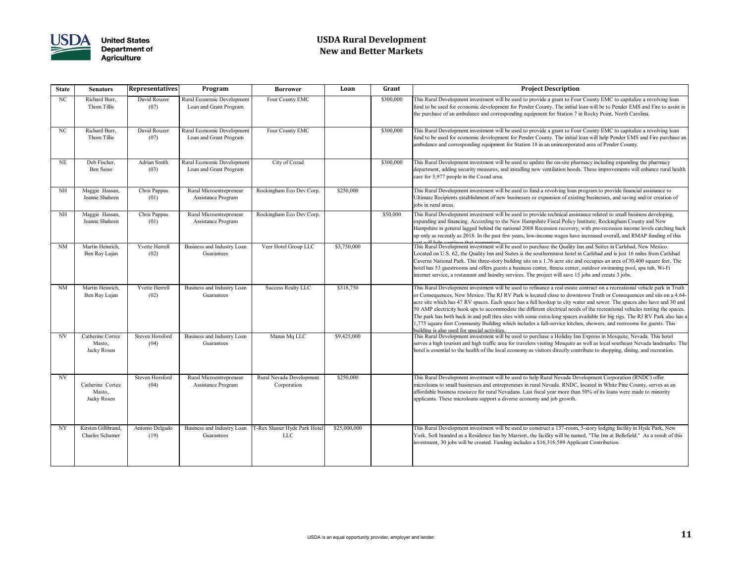

# **USDA Rural Development New and Better Markets**

| <b>State</b> | <b>Senators</b>                               | <b>Representatives</b>  | Program                                              | <b>Borrower</b>                            | Loan         | Grant     | <b>Project Description</b>                                                                                                                                                                                                                                                                                                                                                                                                                                                                                                                                                                                                                                                                                                                                               |
|--------------|-----------------------------------------------|-------------------------|------------------------------------------------------|--------------------------------------------|--------------|-----------|--------------------------------------------------------------------------------------------------------------------------------------------------------------------------------------------------------------------------------------------------------------------------------------------------------------------------------------------------------------------------------------------------------------------------------------------------------------------------------------------------------------------------------------------------------------------------------------------------------------------------------------------------------------------------------------------------------------------------------------------------------------------------|
| NC           | Richard Burr,<br>Thom Tillis                  | David Rouzer<br>(07)    | Rural Economic Development<br>Loan and Grant Program | Four County EMC                            |              | \$300,000 | This Rural Development investment will be used to provide a grant to Four County EMC to capitalize a revolving<br>fund to be used for economic development for Pender County. The initial loan will be to Pender EMS and Fire to a<br>the purchase of an ambulance and corresponding equipment for Station 7 in Rocky Point, North Carolina.                                                                                                                                                                                                                                                                                                                                                                                                                             |
| NC           | Richard Burr,<br>Thom Tillis                  | David Rouzer<br>(07)    | Rural Economic Development<br>Loan and Grant Program | Four County EMC                            |              | \$300,000 | This Rural Development investment will be used to provide a grant to Four County EMC to capitalize a revolving<br>fund to be used for economic development for Pender County. The initial loan will help Pender EMS and Fire purc<br>ambulance and corresponding equipment for Station 18 in an unincorporated area of Pender County.                                                                                                                                                                                                                                                                                                                                                                                                                                    |
| <b>NE</b>    | Deb Fischer,<br>Ben Sasse                     | Adrian Smith<br>(03)    | Rural Economic Development<br>Loan and Grant Program | City of Cozad                              |              | \$300,000 | This Rural Development investment will be used to update the on-site pharmacy including expanding the pharmacy<br>department, adding security measures, and installing new ventilation hoods. These improvements will enhance rura<br>care for 3,977 people in the Cozad area.                                                                                                                                                                                                                                                                                                                                                                                                                                                                                           |
| NH           | Maggie Hassan,<br>Jeanne Shaheen              | Chris Pappas<br>(01)    | Rural Microentrepreneur<br>Assistance Program        | Rockingham Eco Dev Corp.                   | \$250,000    |           | This Rural Development investment will be used to fund a revolving loan program to provide financial assistance to<br>Ultimate Recipients establishment of new businesses or expansion of existing businesses, and saving and/or creation<br>jobs in rural areas.                                                                                                                                                                                                                                                                                                                                                                                                                                                                                                        |
| NH           | Maggie Hassan,<br>Jeanne Shaheen              | Chris Pappas<br>(01)    | Rural Microentrepreneur<br><b>Assistance Program</b> | Rockingham Eco Dev Corp.                   |              | \$50,000  | This Rural Development investment will be used to provide technical assistance related to small business developin<br>expanding and financing. According to the New Hampshire Fiscal Policy Institute, Rockingham County and New<br>Hampshire in general lagged behind the national 2008 Recession recovery, with pre-recession income levels catchin<br>up only as recently as 2018. In the past few years, low-income wages have increased overall, and RMAP funding o                                                                                                                                                                                                                                                                                                 |
| <b>NM</b>    | Martin Heinrich,<br>Ben Ray Lujan             | Yvette Herrell<br>(02)  | Business and Industry Loan<br>Guarantees             | Veer Hotel Group LLC                       | \$3,750,000  |           | will halp continue that momentu<br>This Rural Development investment will be used to purchase the Quality Inn and Suites in Carlsbad, New Mexico.<br>Located on U.S. 62, the Quality Inn and Suites is the southernmost hotel in Carlsbad and is just 16 miles from Carl<br>Caverns National Park. This three-story building sits on a 1.76 acre site and occupies an area of 30,400 square feet<br>hotel has 53 guestrooms and offers guests a business center, fitness center, outdoor swimming pool, spa tub, Wi-F<br>internet service, a restaurant and laundry services. The project will save 15 jobs and create 3 jobs.                                                                                                                                           |
| <b>NM</b>    | Martin Heinrich,<br>Ben Ray Lujan             | Yvette Herrell<br>(02)  | Business and Industry Loan<br>Guarantees             | <b>Success Realty LLC</b>                  | \$318,750    |           | This Rural Development investment will be used to refinance a real estate contract on a recreational vehicle park in<br>or Consequences, New Mexico. The RJ RV Park is located close to downtown Truth or Consequences and sits on<br>acre site which has 47 RV spaces. Each space has a full hookup to city water and sewer. The spaces also have and<br>50 AMP electricity hook ups to accommodate the different electrical needs of the recreational vehicles renting the<br>The park has both back in and pull thru sites with some extra-long spaces available for big rigs. The RJ RV Park al<br>1,775 square foot Community Building which includes a full-service kitchen, showers, and restrooms for guests. T<br>building is also used for special activities. |
| <b>NV</b>    | Catherine Cortez<br>Masto,<br>Jacky Rosen     | Steven Horsford<br>(04) | Business and Industry Loan<br>Guarantees             | Manas Mq LLC                               | \$9,425,000  |           | This Rural Development investment will be used to purchase a Holiday Inn Express in Mesquite, Nevada. This hot<br>serves a high tourism and high traffic area for travelers visiting Mesquite as well as local southeast Nevada landmai<br>hotel is essential to the health of the local economy as visitors directly contribute to shopping, dining, and recreation                                                                                                                                                                                                                                                                                                                                                                                                     |
| NV           | Catherine Cortez<br>Masto,<br>Jacky Rosen     | Steven Horsford<br>(04) | Rural Microentrepreneur<br><b>Assistance Program</b> | Rural Nevada Development<br>Corporation    | \$250,000    |           | This Rural Development investment will be used to help Rural Nevada Development Corporation (RNDC) offer<br>microloans to small businesses and entrepreneurs in rural Nevada. RNDC, located in White Pine County, serves as<br>affordable business resource for rural Nevadans. Last fiscal year more than 50% of its loans were made to minority<br>applicants. These microloans support a diverse economy and job growth.                                                                                                                                                                                                                                                                                                                                              |
| NY           | Kirsten Gillibrand,<br><b>Charles Schumer</b> | Antonio Delgado<br>(19) | Business and Industry Loan<br>Guarantees             | T-Rex Shaner Hyde Park Hotel<br><b>LLC</b> | \$25,000,000 |           | This Rural Development investment will be used to construct a 137-room, 5-story lodging facility in Hyde Park, N<br>York. Soft branded as a Residence Inn by Marriott, the facility will be named, "The Inn at Bellefield." As a result of<br>investment, 30 jobs will be created. Funding includes a \$16,316,589 Applicant Contribution.                                                                                                                                                                                                                                                                                                                                                                                                                               |

is Rural Development investment will be used to provide a grant to Four County EMC to capitalize a revolving loan d to be used for economic development for Pender County. The initial loan will be to Pender EMS and Fire to assist in purchase of an ambulance and corresponding equipment for Station 7 in Rocky Point, North Carolina.

is Rural Development investment will be used to provide a grant to Four County EMC to capitalize a revolving loan d to be used for economic development for Pender County. The initial loan will help Pender EMS and Fire purchase an bulance and corresponding equipment for Station 18 in an unincorporated area of Pender County.

is Rural Development investment will be used to update the on-site pharmacy including expanding the pharmacy bartment, adding security measures, and installing new ventilation hoods. These improvements will enhance rural health e for 3,977 people in the Cozad area.

is Rural Development investment will be used to provide technical assistance related to small business developing, banding and financing. According to the New Hampshire Fiscal Policy Institute, Rockingham County and New mpshire in general lagged behind the national 2008 Recession recovery, with pre-recession income levels catching back only as recently as 2018. In the past few years, low-income wages have increased overall, and RMAP funding of this

is Rural Development investment will be used to refinance a real estate contract on a recreational vehicle park in Truth Consequences, New Mexico. The RJ RV Park is located close to downtown Truth or Consequences and sits on a 4.64e site which has 47 RV spaces. Each space has a full hookup to city water and sewer. The spaces also have and 30 and AMP electricity hook ups to accommodate the different electrical needs of the recreational vehicles renting the spaces. the park has both back in and pull thru sites with some extra-long spaces available for big rigs. The RJ RV Park also has a 75 square foot Community Building which includes a full-service kitchen, showers, and restrooms for guests. This lding is also used for special activities.

is Rural Development investment will be used to purchase a Holiday Inn Express in Mesquite, Nevada. This hotel ves a high tourism and high traffic area for travelers visiting Mesquite as well as local southeast Nevada landmarks. The lel is essential to the health of the local economy as visitors directly contribute to shopping, dining, and recreation.

is Rural Development investment will be used to construct a 137-room, 5-story lodging facility in Hyde Park, New rk. Soft branded as a Residence Inn by Marriott, the facility will be named, "The Inn at Bellefield." As a result of this estment, 30 jobs will be created. Funding includes a \$16,316,589 Applicant Contribution.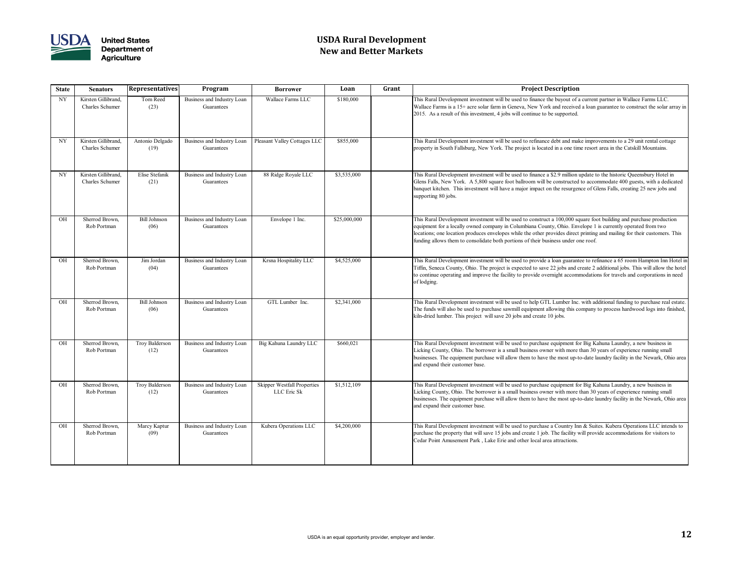

# **USDA Rural Development New and Better Markets**

### **State Senators Representatives Program Borrower Loan Grant Project Description**

It is Rural Development investment will be used to finance the buyout of a current partner in Wallace Farms LLC. Illace Farms is a 15+ acre solar farm in Geneva, New York and received a loan guarantee to construct the solar array in 15. As a result of this investment, 4 jobs will continue to be supported.

is Rural Development investment will be used to refinance debt and make improvements to a 29 unit rental cottage perty in South Fallsburg, New York. The project is located in a one time resort area in the Catskill Mountains.

is Rural Development investment will be used to finance a \$2.9 million update to the historic Queensbury Hotel in ens Falls, New York. A 5,800 square foot ballroom will be constructed to accommodate 400 guests, with a dedicated hanguet kitchen. This investment will have a major impact on the resurgence of Glens Falls, creating 25 new jobs and porting 80 jobs.

is Rural Development investment will be used to construct a 100,000 square foot building and purchase production ipment for a locally owned company in Columbiana County, Ohio. Envelope 1 is currently operated from two ations; one location produces envelopes while the other provides direct printing and mailing for their customers. This ding allows them to consolidate both portions of their business under one roof.

is Rural Development investment will be used to provide a loan guarantee to refinance a 65 room Hampton Inn Hotel in fin, Seneca County, Ohio. The project is expected to save 22 jobs and create 2 additional jobs. This will allow the hotel continue operating and improve the facility to provide overnight accommodations for travels and corporations in need lodging.

is Rural Development investment will be used to help GTL Lumber Inc. with additional funding to purchase real estate. e funds will also be used to purchase sawmill equipment allowing this company to process hardwood logs into finished, a-dried lumber. This project will save 20 jobs and create 10 jobs.

is Rural Development investment will be used to purchase equipment for Big Kahuna Laundry, a new business in king County, Ohio. The borrower is a small business owner with more than 30 years of experience running small sinesses. The equipment purchase will allow them to have the most up-to-date laundry facility in the Newark, Ohio area l expand their customer base.

is Rural Development investment will be used to purchase equipment for Big Kahuna Laundry, a new business in king County, Ohio. The borrower is a small business owner with more than 30 years of experience running small sinesses. The equipment purchase will allow them to have the most up-to-date laundry facility in the Newark, Ohio area I expand their customer base.

is Rural Development investment will be used to purchase a Country Inn & Suites. Kubera Operations LLC intends to chase the property that will save 15 jobs and create 1 job. The facility will provide accommodations for visitors to dar Point Amusement Park, Lake Erie and other local area attractions.

| <b>State</b>             | <b>Senators</b>                               | <b>Representatives</b>      | Program                                  | <b>Borrower</b>                                   | Loan         | Grant                                 |
|--------------------------|-----------------------------------------------|-----------------------------|------------------------------------------|---------------------------------------------------|--------------|---------------------------------------|
| $\ensuremath{\text{NY}}$ | Kirsten Gillibrand,<br>Charles Schumer        | Tom Reed<br>(23)            | Business and Industry Loan<br>Guarantees | Wallace Farms LLC                                 | \$180,000    | Thi<br>Wa<br>201                      |
| $\ensuremath{\text{NY}}$ | Kirsten Gillibrand,<br>Charles Schumer        | Antonio Delgado<br>(19)     | Business and Industry Loan<br>Guarantees | Pleasant Valley Cottages LLC                      | \$855,000    | Thi<br>pro                            |
| $\ensuremath{\text{NY}}$ | Kirsten Gillibrand,<br><b>Charles Schumer</b> | Elise Stefanik<br>(21)      | Business and Industry Loan<br>Guarantees | 88 Ridge Royale LLC                               | \$3,535,000  | Thi<br>Gle<br>ban<br>sup              |
| OH                       | Sherrod Brown,<br>Rob Portman                 | <b>Bill Johnson</b><br>(06) | Business and Industry Loan<br>Guarantees | Envelope 1 Inc.                                   | \$25,000,000 | Thi<br>equ<br>loc<br>fun              |
| OH                       | Sherrod Brown,<br>Rob Portman                 | Jim Jordan<br>(04)          | Business and Industry Loan<br>Guarantees | Krsna Hospitality LLC                             | \$4,525,000  | Thi<br>Tif<br>to c<br>of <sub>1</sub> |
| OH                       | Sherrod Brown,<br>Rob Portman                 | <b>Bill Johnson</b><br>(06) | Business and Industry Loan<br>Guarantees | GTL Lumber Inc.                                   | \$2,341,000  | Thi<br>The<br>kilr                    |
| OH                       | Sherrod Brown,<br>Rob Portman                 | Troy Balderson<br>(12)      | Business and Industry Loan<br>Guarantees | Big Kahuna Laundry LLC                            | \$660,021    | Thi<br>Lic<br>bus<br>and              |
| OH                       | Sherrod Brown,<br>Rob Portman                 | Troy Balderson<br>(12)      | Business and Industry Loan<br>Guarantees | <b>Skipper Westfall Properties</b><br>LLC Eric Sk | \$1,512,109  | Thi<br>Lic<br>bus<br>and              |
| OH                       | Sherrod Brown,<br>Rob Portman                 | Marcy Kaptur<br>(09)        | Business and Industry Loan<br>Guarantees | Kubera Operations LLC                             | \$4,200,000  | Thi<br>pur<br>Ceo                     |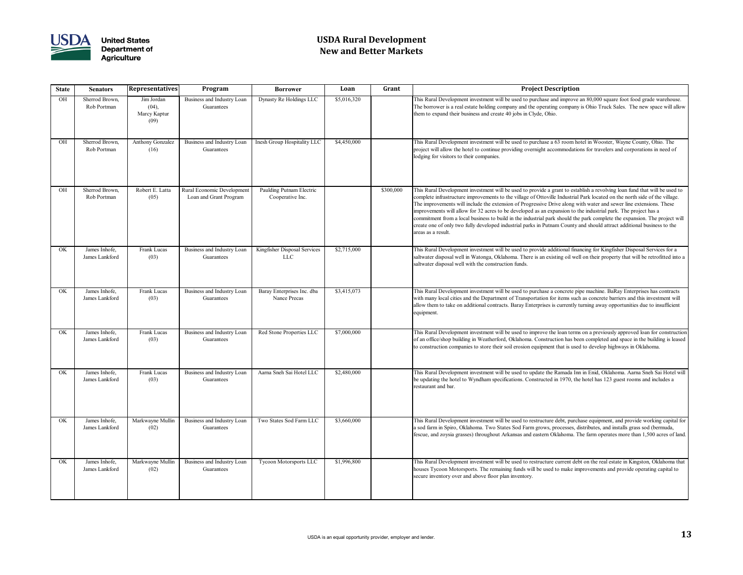

# **USDA Rural Development New and Better Markets**

### **State Senators Representatives Program Borrower Loan Grant Project Description**

Is Rural Development investment will be used to purchase and improve an 80,000 square foot food grade warehouse. e borrower is a real estate holding company and the operating company is Ohio Truck Sales. The new space will allow m to expand their business and create 40 jobs in Clyde, Ohio.

is Rural Development investment will be used to purchase a 63 room hotel in Wooster, Wayne County, Ohio. The pject will allow the hotel to continue providing overnight accommodations for travelers and corporations in need of ging for visitors to their companies.

is Rural Development investment will be used to provide a grant to establish a revolving loan fund that will be used to mplete infrastructure improvements to the village of Ottoville Industrial Park located on the north side of the village. e improvements will include the extension of Progressive Drive along with water and sewer line extensions. These provements will allow for 32 acres to be developed as an expansion to the industrial park. The project has a mmitment from a local business to build in the industrial park should the park complete the expansion. The project will ate one of only two fully developed industrial parks in Putnam County and should attract additional business to the eas as a result.

is Rural Development investment will be used to provide additional financing for Kingfisher Disposal Services for a twater disposal well in Watonga, Oklahoma. There is an existing oil well on their property that will be retrofitted into a twater disposal well with the construction funds.

is Rural Development investment will be used to purchase a concrete pipe machine. BaRay Enterprises has contracts h many local cities and the Department of Transportation for items such as concrete barriers and this investment will bw them to take on additional contracts. Baray Enterprises is currently turning away opportunities due to insufficient ipment.

is Rural Development investment will be used to improve the loan terms on a previously approved loan for construction an office/shop building in Weatherford, Oklahoma. Construction has been completed and space in the building is leased construction companies to store their soil erosion equipment that is used to develop highways in Oklahoma.

is Rural Development investment will be used to update the Ramada Inn in Enid, Oklahoma. Aarna Sneh Sai Hotel will updating the hotel to Wyndham specifications. Constructed in 1970, the hotel has 123 guest rooms and includes a taurant and bar.

is Rural Development investment will be used to restructure debt, purchase equipment, and provide working capital for od farm in Spiro, Oklahoma. Two States Sod Farm grows, processes, distributes, and installs grass sod (bermuda, cue, and zoysia grasses) throughout Arkansas and eastern Oklahoma. The farm operates more than 1,500 acres of land

Is Rural Development investment will be used to restructure current debt on the real estate in Kingston, Oklahoma that uses Tycoon Motorsports. The remaining funds will be used to make improvements and provide operating capital to ure inventory over and above floor plan inventory.

| <b>State</b> | <b>Senators</b>                 | <b>Representatives</b>                      | Program                                              | <b>Borrower</b>                              | Loan        | Grant     |                                               |
|--------------|---------------------------------|---------------------------------------------|------------------------------------------------------|----------------------------------------------|-------------|-----------|-----------------------------------------------|
| OH           | Sherrod Brown,<br>Rob Portman   | Jim Jordan<br>(04),<br>Marcy Kaptur<br>(09) | Business and Industry Loan<br>Guarantees             | Dynasty Re Holdings LLC                      | \$5,016,320 |           | Thi<br>The<br>the                             |
| OH           | Sherrod Brown,<br>Rob Portman   | <b>Anthony Gonzalez</b><br>(16)             | Business and Industry Loan<br>Guarantees             | Inesh Group Hospitality LLC                  | \$4,450,000 |           | Thi<br>pro<br>lod                             |
| OH           | Sherrod Brown,<br>Rob Portman   | Robert E. Latta<br>(05)                     | Rural Economic Development<br>Loan and Grant Program | Paulding Putnam Electric<br>Cooperative Inc. |             | \$300,000 | Thi<br>cor<br>The<br>imp<br>cor<br>cre<br>are |
| OK           | James Inhofe,<br>James Lankford | Frank Lucas<br>(03)                         | Business and Industry Loan<br>Guarantees             | Kingfisher Disposal Services<br><b>LLC</b>   | \$2,715,000 |           | Thi<br>salt<br>salt                           |
| OK           | James Inhofe,<br>James Lankford | Frank Lucas<br>(03)                         | Business and Industry Loan<br>Guarantees             | Baray Enterprises Inc. dba<br>Nance Precas   | \$3,415,073 |           | Thi<br>wit<br>allo<br>equ                     |
| OK           | James Inhofe,<br>James Lankford | Frank Lucas<br>(03)                         | Business and Industry Loan<br>Guarantees             | Red Stone Properties LLC                     | \$7,000,000 |           | Thi<br>of a<br>to d                           |
| OK           | James Inhofe,<br>James Lankford | Frank Lucas<br>(03)                         | Business and Industry Loan<br>Guarantees             | Aarna Sneh Sai Hotel LLC                     | \$2,480,000 |           | Thi<br>be :<br>res                            |
| OK           | James Inhofe,<br>James Lankford | Markwayne Mullin<br>(02)                    | Business and Industry Loan<br>Guarantees             | Two States Sod Farm LLC                      | \$3,660,000 |           | Thi<br>a so<br>feso                           |
| OK           | James Inhofe,<br>James Lankford | Markwayne Mullin<br>(02)                    | Business and Industry Loan<br>Guarantees             | Tycoon Motorsports LLC                       | \$1,996,800 |           | Thi<br>hou<br>sec                             |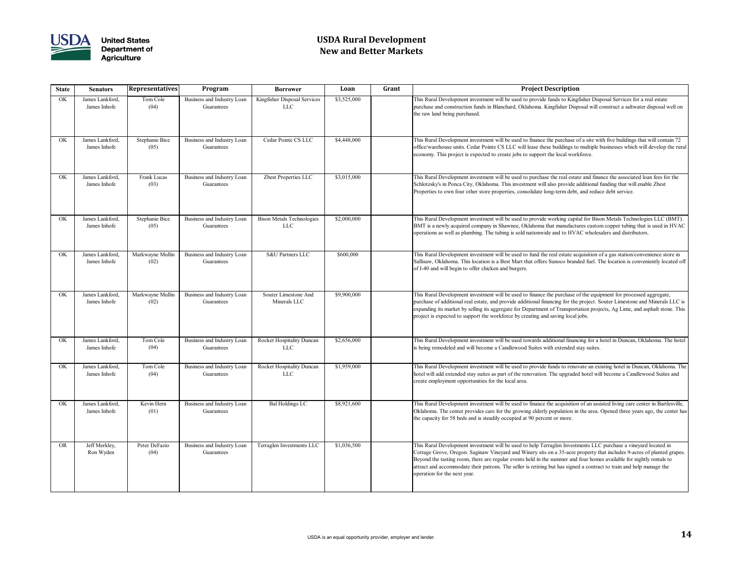

# **USDA Rural Development New and Better Markets**

### **State Senators Representatives Program Borrower Loan Grant Project Description**

is Rural Development investment will be used to provide funds to Kingfisher Disposal Services for a real estate chase and construction funds in Blanchard, Oklahoma. Kingfisher Disposal will construct a saltwater disposal well on raw land being purchased.

is Rural Development investment will be used to finance the purchase of a site with five buildings that will contain 72 ice/warehouse units. Cedar Pointe CS LLC will lease these buildings to multiple businesses which will develop the rural economy. This project is expected to create jobs to support the local workforce.

is Rural Development investment will be used to purchase the real estate and finance the associated loan fees for the nlotzsky's in Ponca City, Oklahoma. This investment will also provide additional funding that will enable Zbest perties to own four other store properties, consolidate long-term debt, and reduce debt service.

is Rural Development investment will be used to provide working capital for Bison Metals Technologies LLC (BMT). AT is a newly acquired company in Shawnee, Oklahoma that manufactures custom copper tubing that is used in HVAC erations as well as plumbing. The tubing is sold nationwide and to HVAC wholesalers and distributors.

Is Rural Development investment will be used to fund the real estate acquisition of a gas station/convenience store in lisaw, Oklahoma. This location is a Best Mart that offers Sunoco branded fuel. The location is conveniently located off I-40 and will begin to offer chicken and burgers.

is Rural Development investment will be used to finance the purchase of the equipment for processed aggregate, chase of additional real estate, and provide additional financing for the project. Souter Limestone and Minerals LLC is panding its market by selling its aggregate for Department of Transportation projects, Ag Lime, and asphalt stone. This pject is expected to support the workforce by creating and saving local jobs.

is Rural Development investment will be used towards additional financing for a hotel in Duncan, Oklahoma. The hotel being remodeled and will become a Candlewood Suites with extended stay suites.

is Rural Development investment will be used to provide funds to renovate an existing hotel in Duncan, Oklahoma. The el will add extended stay suites as part of the renovation. The upgraded hotel will become a Candlewood Suites and ate employment opportunities for the local area.

is Rural Development investment will be used to finance the acquisition of an assisted living care center in Bartlesville, lahoma. The center provides care for the growing elderly population in the area. Opened three years ago, the center has capacity for 58 beds and is steadily occupied at 90 percent or more.

is Rural Development investment will be used to help Terraglen Investments LLC purchase a vineyard located in ttage Grove, Oregon. Saginaw Vineyard and Winery sits on a 35-acre property that includes 9-acres of planted grapes yond the tasting room, there are regular events held in the summer and four homes available for nightly rentals to ract and accommodate their patrons. The seller is retiring but has signed a contract to train and help manage the eration for the next year.

| <b>State</b> | <b>Senators</b>                 | Representatives          | Program                                  | <b>Borrower</b>                                | Loan        | Grant                                       |
|--------------|---------------------------------|--------------------------|------------------------------------------|------------------------------------------------|-------------|---------------------------------------------|
| OK           | James Lankford,<br>James Inhofe | Tom Cole<br>(04)         | Business and Industry Loan<br>Guarantees | Kingfisher Disposal Services<br><b>LLC</b>     | \$3,525,000 | Thi<br>pur<br>the                           |
| <b>OK</b>    | James Lankford,<br>James Inhofe | Stephanie Bice<br>(05)   | Business and Industry Loan<br>Guarantees | Cedar Pointe CS LLC                            | \$4,448,000 | Thi<br>offi<br>eco                          |
| OK           | James Lankford,<br>James Inhofe | Frank Lucas<br>(03)      | Business and Industry Loan<br>Guarantees | Zbest Properties LLC                           | \$3,015,000 | Thi<br>Scl<br>Prc                           |
| OK           | James Lankford,<br>James Inhofe | Stephanie Bice<br>(05)   | Business and Industry Loan<br>Guarantees | <b>Bison Metals Technologies</b><br><b>LLC</b> | \$2,000,000 | Thi<br><b>B</b> <sub>N</sub><br>ope         |
| OK           | James Lankford,<br>James Inhofe | Markwayne Mullin<br>(02) | Business and Industry Loan<br>Guarantees | S&U Partners LLC                               | \$600,000   | Thi<br>Sal<br>of l                          |
| OK           | James Lankford,<br>James Inhofe | Markwayne Mullin<br>(02) | Business and Industry Loan<br>Guarantees | Souter Limestone And<br>Minerals LLC           | \$9,900,000 | Thi<br>pur<br>exp<br>pro                    |
| OK           | James Lankford,<br>James Inhofe | Tom Cole<br>(04)         | Business and Industry Loan<br>Guarantees | Rocket Hospitality Duncan<br><b>LLC</b>        | \$2,656,000 | Thi<br>is b                                 |
| OK           | James Lankford,<br>James Inhofe | Tom Cole<br>(04)         | Business and Industry Loan<br>Guarantees | Rocket Hospitality Duncan<br><b>LLC</b>        | \$1,959,000 | Thi<br>hot<br>cre                           |
| <b>OK</b>    | James Lankford,<br>James Inhofe | Kevin Hern<br>(01)       | Business and Industry Loan<br>Guarantees | <b>Bal Holdings LC</b>                         | \$8,921,600 | Thi<br>Ok<br>the                            |
| <b>OR</b>    | Jeff Merkley,<br>Ron Wyden      | Peter DeFazio<br>(04)    | Business and Industry Loan<br>Guarantees | Terraglen Investments LLC                      | \$1,036,500 | Thi<br>Co <sub>1</sub><br>Be<br>attı<br>ope |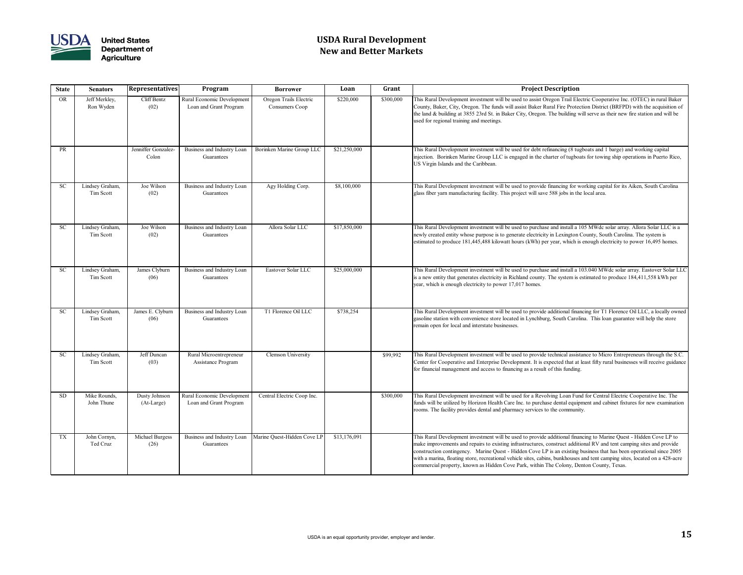

# **USDA Rural Development New and Better Markets**

### **State Senators Representatives Program Borrower Loan Grant Project Description**

is Rural Development investment will be used to assist Oregon Trail Electric Cooperative Inc. (OTEC) in rural Baker unty, Baker, City, Oregon. The funds will assist Baker Rural Fire Protection District (BRFPD) with the acquisition of land & building at 3855 23rd St. in Baker City, Oregon. The building will serve as their new fire station and will be d for regional training and meetings.

is Rural Development investment will be used for debt refinancing (8 tugboats and 1 barge) and working capital ection. Borinken Marine Group LLC is engaged in the charter of tugboats for towing ship operations in Puerto Rico, Virgin Islands and the Caribbean.

is Rural Development investment will be used to provide financing for working capital for its Aiken, South Carolina ss fiber yarn manufacturing facility. This project will save 588 jobs in the local area.

is Rural Development investment will be used to purchase and install a 105 MWdc solar array. Allora Solar LLC is a vly created entity whose purpose is to generate electricity in Lexington County, South Carolina. The system is imated to produce 181,445,488 kilowatt hours (kWh) per year, which is enough electricity to power 16,495 homes.

is Rural Development investment will be used to purchase and install a 103.040 MWdc solar array. Eastover Solar LL Inew entity that generates electricity in Richland county. The system is estimated to produce 184,411,558 kWh per r, which is enough electricity to power 17,017 homes.

is Rural Development investment will be used to provide additional financing for T1 Florence Oil LLC, a locally owned soline station with convenience store located in Lynchburg, South Carolina. This loan guarantee will help the store hain open for local and interstate businesses.

is Rural Development investment will be used to provide technical assistance to Micro Entrepreneurs through the S.C. nter for Cooperative and Enterprise Development. It is expected that at least fifty rural businesses will receive guidance financial management and access to financing as a result of this funding.

is Rural Development investment will be used for a Revolving Loan Fund for Central Electric Cooperative Inc. The ds will be utilized by Horizon Health Care Inc. to purchase dental equipment and cabinet fixtures for new examination rooms. The facility provides dental and pharmacy services to the community.

is Rural Development investment will be used to provide additional financing to Marine Quest - Hidden Cove LP to ke improvements and repairs to existing infrastructures, construct additional RV and tent camping sites and provide nstruction contingency. Marine Quest - Hidden Cove LP is an existing business that has been operational since 2005 h a marina, floating store, recreational vehicle sites, cabins, bunkhouses and tent camping sites, located on a 428-acre mmercial property, known as Hidden Cove Park, within The Colony, Denton County, Texas.

| <b>State</b> | <b>Senators</b>              | <b>Representatives</b>       | Program                                              | <b>Borrower</b>                          | Loan         | Grant     |                                  |
|--------------|------------------------------|------------------------------|------------------------------------------------------|------------------------------------------|--------------|-----------|----------------------------------|
| <b>OR</b>    | Jeff Merkley,<br>Ron Wyden   | Cliff Bentz<br>(02)          | Rural Economic Development<br>Loan and Grant Program | Oregon Trails Electric<br>Consumers Coop | \$220,000    | \$300,000 | Thi<br>Co<br>the<br>luse         |
| PR           |                              | Jenniffer Gonzalez-<br>Colon | Business and Industry Loan<br>Guarantees             | Borinken Marine Group LLC                | \$21,250,000 |           | Thi<br>inje<br>US <sup></sup>    |
| <b>SC</b>    | Lindsey Graham,<br>Tim Scott | Joe Wilson<br>(02)           | Business and Industry Loan<br>Guarantees             | Agy Holding Corp.                        | \$8,100,000  |           | Thi<br>glas                      |
| <b>SC</b>    | Lindsey Graham,<br>Tim Scott | Joe Wilson<br>(02)           | Business and Industry Loan<br>Guarantees             | Allora Solar LLC                         | \$17,850,000 |           | Thi<br>nev<br>esti               |
| <b>SC</b>    | Lindsey Graham,<br>Tim Scott | James Clyburn<br>(06)        | Business and Industry Loan<br>Guarantees             | Eastover Solar LLC                       | \$25,000,000 |           | Thi<br>is a<br>yea               |
| <b>SC</b>    | Lindsey Graham,<br>Tim Scott | James E. Clyburn<br>(06)     | Business and Industry Loan<br>Guarantees             | T1 Florence Oil LLC                      | \$738,254    |           | Thi<br>gas<br>rem                |
| <b>SC</b>    | Lindsey Graham,<br>Tim Scott | Jeff Duncan<br>(03)          | Rural Microentrepreneur<br>Assistance Program        | <b>Clemson University</b>                |              | \$99,992  | Thi<br>Cer<br>for                |
| <b>SD</b>    | Mike Rounds,<br>John Thune   | Dusty Johnson<br>(At-Large)  | Rural Economic Development<br>Loan and Grant Program | Central Electric Coop Inc.               |              | \$300,000 | Thi<br>  fun<br>roo              |
| <b>TX</b>    | John Cornyn,<br>Ted Cruz     | Michael Burgess<br>(26)      | Business and Industry Loan<br>Guarantees             | Marine Quest-Hidden Cove LP              | \$13,176,091 |           | Thi<br>mal<br>con<br>wit.<br>con |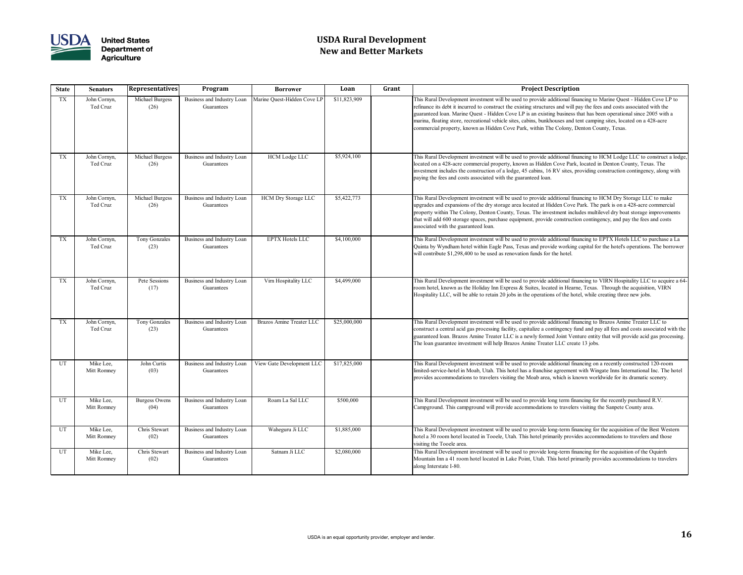

# **USDA Rural Development New and Better Markets**

| <b>State</b> | <b>Senators</b>          | <b>Representatives</b>       | Program                                  | <b>Borrower</b>             | Loan         | Grant | <b>Project Description</b>                                                                                                                                                                                                                                                                                                                                                                          |
|--------------|--------------------------|------------------------------|------------------------------------------|-----------------------------|--------------|-------|-----------------------------------------------------------------------------------------------------------------------------------------------------------------------------------------------------------------------------------------------------------------------------------------------------------------------------------------------------------------------------------------------------|
| <b>TX</b>    | John Cornyn,<br>Ted Cruz | Michael Burgess<br>(26)      | Business and Industry Loan<br>Guarantees | Marine Quest-Hidden Cove LP | \$11,823,909 |       | This Rural Development investment will be used to provide additional fina<br>refinance its debt it incurred to construct the existing structures and will pa<br>guaranteed loan. Marine Quest - Hidden Cove LP is an existing business tl<br>marina, floating store, recreational vehicle sites, cabins, bunkhouses and te<br>commercial property, known as Hidden Cove Park, within The Colony, Do |
| TX           | John Cornyn,<br>Ted Cruz | Michael Burgess<br>(26)      | Business and Industry Loan<br>Guarantees | HCM Lodge LLC               | \$5,924,100  |       | This Rural Development investment will be used to provide additional fina<br>located on a 428-acre commercial property, known as Hidden Cove Park,<br>investment includes the construction of a lodge, 45 cabins, 16 RV sites, pr<br>paying the fees and costs associated with the guaranteed loan.                                                                                                 |
| <b>TX</b>    | John Cornyn,<br>Ted Cruz | Michael Burgess<br>(26)      | Business and Industry Loan<br>Guarantees | <b>HCM Dry Storage LLC</b>  | \$5,422,773  |       | This Rural Development investment will be used to provide additional fina<br>upgrades and expansions of the dry storage area located at Hidden Cove F<br>property within The Colony, Denton County, Texas. The investment inclu-<br>that will add 600 storage spaces, purchase equipment, provide constructio<br>associated with the guaranteed loan.                                               |
| <b>TX</b>    | John Cornyn,<br>Ted Cruz | <b>Tony Gonzales</b><br>(23) | Business and Industry Loan<br>Guarantees | <b>EPTX Hotels LLC</b>      | \$4,100,000  |       | This Rural Development investment will be used to provide additional fina<br>Quinta by Wyndham hotel within Eagle Pass, Texas and provide working<br>will contribute \$1,298,400 to be used as renovation funds for the hotel.                                                                                                                                                                      |
| TX           | John Cornyn,<br>Ted Cruz | Pete Sessions<br>(17)        | Business and Industry Loan<br>Guarantees | Virn Hospitality LLC        | \$4,499,000  |       | This Rural Development investment will be used to provide additional fina<br>room hotel, known as the Holiday Inn Express & Suites, located in Hearne<br>Hospitality LLC, will be able to retain 20 jobs in the operations of the hote                                                                                                                                                              |
| <b>TX</b>    | John Cornyn,<br>Ted Cruz | Tony Gonzales<br>(23)        | Business and Industry Loan<br>Guarantees | Brazos Amine Treater LLC    | \$25,000,000 |       | This Rural Development investment will be used to provide additional fina<br>construct a central acid gas processing facility, capitalize a contingency fur-<br>guaranteed loan. Brazos Amine Treater LLC is a newly formed Joint Vent<br>The loan guarantee investment will help Brazos Amine Treater LLC create                                                                                   |
| UT           | Mike Lee,<br>Mitt Romney | John Curtis<br>(03)          | Business and Industry Loan<br>Guarantees | View Gate Development LLC   | \$17,825,000 |       | This Rural Development investment will be used to provide additional fina<br>limited-service-hotel in Moab, Utah. This hotel has a franchise agreement<br>provides accommodations to travelers visiting the Moab area, which is know                                                                                                                                                                |
| UT           | Mike Lee,<br>Mitt Romney | <b>Burgess Owens</b><br>(04) | Business and Industry Loan<br>Guarantees | Roam La Sal LLC             | \$500,000    |       | This Rural Development investment will be used to provide long term fina<br>Campground. This campground will provide accommodations to travelers                                                                                                                                                                                                                                                    |
| UT           | Mike Lee,<br>Mitt Romney | Chris Stewart<br>(02)        | Business and Industry Loan<br>Guarantees | Waheguru Ji LLC             | \$1,885,000  |       | This Rural Development investment will be used to provide long-term fina<br>hotel a 30 room hotel located in Tooele, Utah. This hotel primarily provide<br>visiting the Tooele area.                                                                                                                                                                                                                |
| UT           | Mike Lee,<br>Mitt Romney | Chris Stewart<br>(02)        | Business and Industry Loan<br>Guarantees | Satnam Ji LLC               | \$2,080,000  |       | This Rural Development investment will be used to provide long-term fina<br>Mountain Inn a 41 room hotel located in Lake Point, Utah. This hotel prin<br>along Interstate I-80.                                                                                                                                                                                                                     |

It is Rural Development investment will be used to provide additional financing to Marine Quest - Hidden Cove LP to inance its debt it incurred to construct the existing structures and will pay the fees and costs associated with the aranteed loan. Marine Quest - Hidden Cove LP is an existing business that has been operational since 2005 with a rina, floating store, recreational vehicle sites, cabins, bunkhouses and tent camping sites, located on a 428-acre mmercial property, known as Hidden Cove Park, within The Colony, Denton County, Texas.

is Rural Development investment will be used to provide additional financing to HCM Lodge LLC to construct a lodge ated on a 428-acre commercial property, known as Hidden Cove Park, located in Denton County, Texas. The estment includes the construction of a lodge, 45 cabins, 16 RV sites, providing construction contingency, along with ving the fees and costs associated with the guaranteed loan.

is Rural Development investment will be used to provide additional financing to HCM Dry Storage LLC to make grades and expansions of the dry storage area located at Hidden Cove Park. The park is on a 428-acre commercial perty within The Colony, Denton County, Texas. The investment includes multilevel dry boat storage improvements at will add 600 storage spaces, purchase equipment, provide construction contingency, and pay the fees and costs ociated with the guaranteed loan.

Is Rural Development investment will be used to provide additional financing to EPTX Hotels LLC to purchase a La inta by Wyndham hotel within Eagle Pass, Texas and provide working capital for the hotel's operations. The borrower 1 contribute \$1,298,400 to be used as renovation funds for the hotel.

is Rural Development investment will be used to provide additional financing to VIRN Hospitality LLC to acquire a 64om hotel, known as the Holiday Inn Express & Suites, located in Hearne, Texas. Through the acquisition, VIRN spitality LLC, will be able to retain 20 jobs in the operations of the hotel, while creating three new jobs.

Is Rural Development investment will be used to provide additional financing to Brazos Amine Treater LLC to nstruct a central acid gas processing facility, capitalize a contingency fund and pay all fees and costs associated with the aranteed loan. Brazos Amine Treater LLC is a newly formed Joint Venture entity that will provide acid gas processing. e loan guarantee investment will help Brazos Amine Treater LLC create 13 jobs.

is Rural Development investment will be used to provide additional financing on a recently constructed 120-room ited-service-hotel in Moab, Utah. This hotel has a franchise agreement with Wingate Inns International Inc. The hotel vides accommodations to travelers visiting the Moab area, which is known worldwide for its dramatic scenery.

is Rural Development investment will be used to provide long term financing for the recently purchased R.V. mpground. This campground will provide accommodations to travelers visiting the Sanpete County area.

is Rural Development investment will be used to provide long-term financing for the acquisition of the Best Western el a 30 room hotel located in Tooele, Utah. This hotel primarily provides accommodations to travelers and those iting the Tooele area.

is Rural Development investment will be used to provide long-term financing for the acquisition of the Oquirrh vuntain Inn a 41 room hotel located in Lake Point, Utah. This hotel primarily provides accommodations to travelers ng Interstate I-80.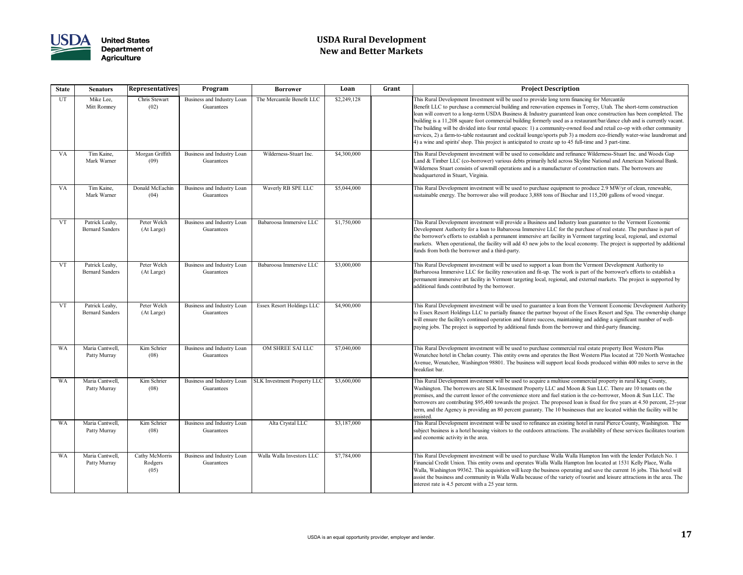

# **USDA Rural Development New and Better Markets**

| <b>State</b> | <b>Senators</b>                          | <b>Representatives</b>            | Program                                  | <b>Borrower</b>                    | Loan        | Grant | <b>Project Description</b>                                                                                                                                                                                                                                                                                                                                                                                                                                                                                                                                  |
|--------------|------------------------------------------|-----------------------------------|------------------------------------------|------------------------------------|-------------|-------|-------------------------------------------------------------------------------------------------------------------------------------------------------------------------------------------------------------------------------------------------------------------------------------------------------------------------------------------------------------------------------------------------------------------------------------------------------------------------------------------------------------------------------------------------------------|
| <b>UT</b>    | Mike Lee,<br>Mitt Romney                 | Chris Stewart<br>(02)             | Business and Industry Loan<br>Guarantees | The Mercantile Benefit LLC         | \$2,249,128 |       | This Rural Development Investment will be used to provide long term fina<br>Benefit LLC to purchase a commercial building and renovation expenses in<br>loan will convert to a long-term USDA Business & Industry guaranteed lo<br>building is a 11,208 square foot commercial building formerly used as a re<br>The building will be divided into four rental spaces: 1) a community-owne<br>services, 2) a farm-to-table restaurant and cocktail lounge/sports pub 3) a<br>4) a wine and spirits' shop. This project is anticipated to create up to 45 fu |
| <b>VA</b>    | Tim Kaine,<br>Mark Warner                | Morgan Griffith<br>(09)           | Business and Industry Loan<br>Guarantees | Wilderness-Stuart Inc.             | \$4,300,000 |       | This Rural Development investment will be used to consolidate and refinar<br>Land & Timber LLC (co-borrower) various debts primarily held across Sk<br>Wilderness Stuart consists of sawmill operations and is a manufacturer of<br>headquartered in Stuart, Virginia.                                                                                                                                                                                                                                                                                      |
| <b>VA</b>    | Tim Kaine,<br>Mark Warner                | Donald McEachin<br>(04)           | Business and Industry Loan<br>Guarantees | Waverly RB SPE LLC                 | \$5,044,000 |       | This Rural Development investment will be used to purchase equipment to<br>sustainable energy. The borrower also will produce 3,888 tons of Biochar                                                                                                                                                                                                                                                                                                                                                                                                         |
| <b>VT</b>    | Patrick Leahy,<br><b>Bernard Sanders</b> | Peter Welch<br>(At Large)         | Business and Industry Loan<br>Guarantees | Babaroosa Immersive LLC            | \$1,750,000 |       | This Rural Development investment will provide a Business and Industry l<br>Development Authority for a loan to Babaroosa Immersive LLC for the pu<br>the borrower's efforts to establish a permanent immersive art facility in Ve<br>markets. When operational, the facility will add 43 new jobs to the local e<br>funds from both the borrower and a third-party.                                                                                                                                                                                        |
| <b>VT</b>    | Patrick Leahy,<br><b>Bernard Sanders</b> | Peter Welch<br>(At Large)         | Business and Industry Loan<br>Guarantees | Babaroosa Immersive LLC            | \$3,000,000 |       | This Rural Development investment will be used to support a loan from th<br>Barbaroosa Immersive LLC for facility renovation and fit-up. The work is<br>permanent immersive art facility in Vermont targeting local, regional, and<br>additional funds contributed by the borrower.                                                                                                                                                                                                                                                                         |
| <b>VT</b>    | Patrick Leahy,<br><b>Bernard Sanders</b> | Peter Welch<br>(At Large)         | Business and Industry Loan<br>Guarantees | <b>Essex Resort Holdings LLC</b>   | \$4,900,000 |       | This Rural Development investment will be used to guarantee a loan from<br>to Essex Resort Holdings LLC to partially finance the partner buyout of th<br>will ensure the facility's continued operation and future success, maintainin<br>paying jobs. The project is supported by additional funds from the borrow                                                                                                                                                                                                                                         |
| <b>WA</b>    | Maria Cantwell,<br>Patty Murray          | Kim Schrier<br>(08)               | Business and Industry Loan<br>Guarantees | OM SHREE SAI LLC                   | \$7,040,000 |       | This Rural Development investment will be used to purchase commercial r<br>Wenatchee hotel in Chelan county. This entity owns and operates the Best<br>Avenue, Wenatchee, Washington 98801. The business will support local fo<br>breakfast bar.                                                                                                                                                                                                                                                                                                            |
| <b>WA</b>    | Maria Cantwell,<br>Patty Murray          | Kim Schrier<br>(08)               | Business and Industry Loan<br>Guarantees | <b>SLK Investment Property LLC</b> | \$3,600,000 |       | This Rural Development investment will be used to acquire a multiuse con<br>Washington. The borrowers are SLK Investment Property LLC and Moor<br>premises, and the current lessor of the convenience store and fuel station is<br>borrowers are contributing \$95,400 towards the project. The proposed loa<br>term, and the Agency is providing an 80 percent guaranty. The 10 business<br>assisted.                                                                                                                                                      |
| <b>WA</b>    | Maria Cantwell,<br>Patty Murray          | Kim Schrier<br>(08)               | Business and Industry Loan<br>Guarantees | Alta Crystal LLC                   | \$3,187,000 |       | This Rural Development investment will be used to refinance an existing h<br>subject business is a hotel housing visitors to the outdoors attractions. The<br>and economic activity in the area.                                                                                                                                                                                                                                                                                                                                                            |
| <b>WA</b>    | Maria Cantwell,<br>Patty Murray          | Cathy McMorris<br>Rodgers<br>(05) | Business and Industry Loan<br>Guarantees | Walla Walla Investors LLC          | \$7,784,000 |       | This Rural Development investment will be used to purchase Walla Walla<br>Financial Credit Union. This entity owns and operates Walla Walla Hampt<br>Walla, Washington 99362. This acquisition will keep the business operatin<br>assist the business and community in Walla Walla because of the variety of<br>interest rate is 4.5 percent with a 25 year term.                                                                                                                                                                                           |

Is Rural Development Investment will be used to provide long term financing for Mercantile nefit LLC to purchase a commercial building and renovation expenses in Torrey, Utah. The short-term construction n will convert to a long-term USDA Business & Industry guaranteed loan once construction has been completed. The lding is a 11,208 square foot commercial building formerly used as a restaurant/bar/dance club and is currently vacant. The building will be divided into four rental spaces: 1) a community-owned food and retail co-op with other community vices, 2) a farm-to-table restaurant and cocktail lounge/sports pub 3) a modern eco-friendly water-wise laundromat and a wine and spirits' shop. This project is anticipated to create up to 45 full-time and 3 part-time.

is Rural Development investment will be used to consolidate and refinance Wilderness-Stuart Inc. and Woods Gap nd & Timber LLC (co-borrower) various debts primarily held across Skyline National and American National Bank. lderness Stuart consists of sawmill operations and is a manufacturer of construction mats. The borrowers are dquartered in Stuart, Virginia.

is Rural Development investment will be used to purchase equipment to produce 2.9 MW/yr of clean, renewable, tainable energy. The borrower also will produce 3,888 tons of Biochar and 115,200 gallons of wood vinegar.

Is Rural Development investment will provide a Business and Industry loan guarantee to the Vermont Economic velopment Authority for a loan to Babaroosa Immersive LLC for the purchase of real estate. The purchase is part of borrower's efforts to establish a permanent immersive art facility in Vermont targeting local, regional, and external rkets. When operational, the facility will add 43 new jobs to the local economy. The project is supported by additional ds from both the borrower and a third-party.

is Rural Development investment will be used to support a loan from the Vermont Development Authority to rbaroosa Immersive LLC for facility renovation and fit-up. The work is part of the borrower's efforts to establish a manent immersive art facility in Vermont targeting local, regional, and external markets. The project is supported by litional funds contributed by the borrower.

Is Rural Development investment will be used to guarantee a loan from the Vermont Economic Development Authority Essex Resort Holdings LLC to partially finance the partner buyout of the Essex Resort and Spa. The ownership change l ensure the facility's continued operation and future success, maintaining and adding a significant number of welling jobs. The project is supported by additional funds from the borrower and third-party financing.

is Rural Development investment will be used to purchase commercial real estate property Best Western Plus enatchee hotel in Chelan county. This entity owns and operates the Best Western Plus located at 720 North Wentachee enue, Wenatchee, Washington 98801. The business will support local foods produced within 400 miles to serve in the akfast bar.

is Rural Development investment will be used to acquire a multiuse commercial property in rural King County, ishington. The borrowers are SLK Investment Property LLC and Moon  $\&$  Sun LLC. There are 10 tenants on the mises, and the current lessor of the convenience store and fuel station is the co-borrower, Moon & Sun LLC. The rowers are contributing \$95,400 towards the project. The proposed loan is fixed for five years at 4.50 percent, 25-year m, and the Agency is providing an 80 percent guaranty. The 10 businesses that are located within the facility will be isted.

is Rural Development investment will be used to refinance an existing hotel in rural Pierce County, Washington. The is igect business is a hotel housing visitors to the outdoors attractions. The availability of these services facilitates tourism l economic activity in the area.

is Rural Development investment will be used to purchase Walla Walla Hampton Inn with the lender Potlatch No. 1 ancial Credit Union. This entity owns and operates Walla Walla Hampton Inn located at 1531 Kelly Place, Walla Walla, Washington 99362. This acquisition will keep the business operating and save the current 16 jobs. This hotel will ist the business and community in Walla Walla because of the variety of tourist and leisure attractions in the area. The erest rate is 4.5 percent with a 25 year term.